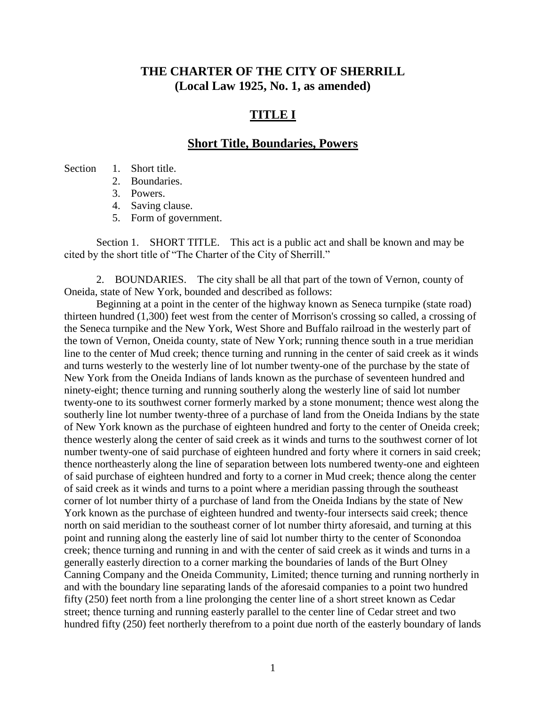## **THE CHARTER OF THE CITY OF SHERRILL (Local Law 1925, No. 1, as amended)**

## **TITLE I**

### **Short Title, Boundaries, Powers**

#### Section 1. Short title.

- 2. Boundaries.
- 3. Powers.
- 4. Saving clause.
- 5. Form of government.

Section 1. SHORT TITLE. This act is a public act and shall be known and may be cited by the short title of "The Charter of the City of Sherrill."

2. BOUNDARIES. The city shall be all that part of the town of Vernon, county of Oneida, state of New York, bounded and described as follows:

Beginning at a point in the center of the highway known as Seneca turnpike (state road) thirteen hundred (1,300) feet west from the center of Morrison's crossing so called, a crossing of the Seneca turnpike and the New York, West Shore and Buffalo railroad in the westerly part of the town of Vernon, Oneida county, state of New York; running thence south in a true meridian line to the center of Mud creek; thence turning and running in the center of said creek as it winds and turns westerly to the westerly line of lot number twenty-one of the purchase by the state of New York from the Oneida Indians of lands known as the purchase of seventeen hundred and ninety-eight; thence turning and running southerly along the westerly line of said lot number twenty-one to its southwest corner formerly marked by a stone monument; thence west along the southerly line lot number twenty-three of a purchase of land from the Oneida Indians by the state of New York known as the purchase of eighteen hundred and forty to the center of Oneida creek; thence westerly along the center of said creek as it winds and turns to the southwest corner of lot number twenty-one of said purchase of eighteen hundred and forty where it corners in said creek; thence northeasterly along the line of separation between lots numbered twenty-one and eighteen of said purchase of eighteen hundred and forty to a corner in Mud creek; thence along the center of said creek as it winds and turns to a point where a meridian passing through the southeast corner of lot number thirty of a purchase of land from the Oneida Indians by the state of New York known as the purchase of eighteen hundred and twenty-four intersects said creek; thence north on said meridian to the southeast corner of lot number thirty aforesaid, and turning at this point and running along the easterly line of said lot number thirty to the center of Sconondoa creek; thence turning and running in and with the center of said creek as it winds and turns in a generally easterly direction to a corner marking the boundaries of lands of the Burt Olney Canning Company and the Oneida Community, Limited; thence turning and running northerly in and with the boundary line separating lands of the aforesaid companies to a point two hundred fifty (250) feet north from a line prolonging the center line of a short street known as Cedar street; thence turning and running easterly parallel to the center line of Cedar street and two hundred fifty (250) feet northerly therefrom to a point due north of the easterly boundary of lands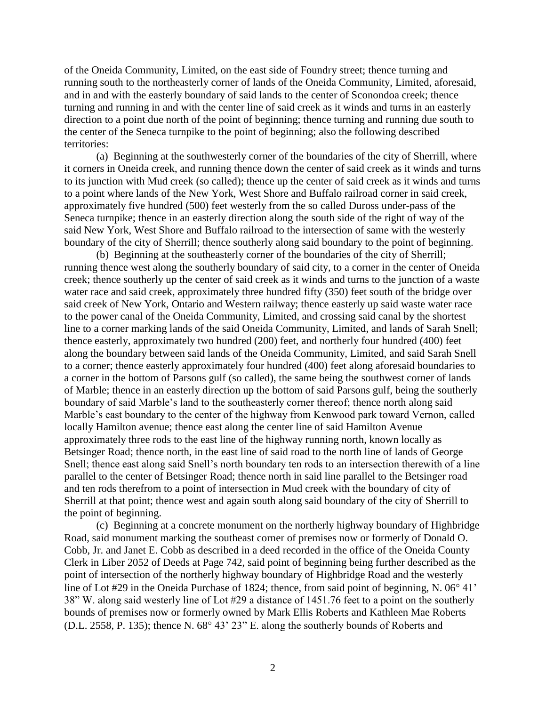of the Oneida Community, Limited, on the east side of Foundry street; thence turning and running south to the northeasterly corner of lands of the Oneida Community, Limited, aforesaid, and in and with the easterly boundary of said lands to the center of Sconondoa creek; thence turning and running in and with the center line of said creek as it winds and turns in an easterly direction to a point due north of the point of beginning; thence turning and running due south to the center of the Seneca turnpike to the point of beginning; also the following described territories:

(a) Beginning at the southwesterly corner of the boundaries of the city of Sherrill, where it corners in Oneida creek, and running thence down the center of said creek as it winds and turns to its junction with Mud creek (so called); thence up the center of said creek as it winds and turns to a point where lands of the New York, West Shore and Buffalo railroad corner in said creek, approximately five hundred (500) feet westerly from the so called Duross under-pass of the Seneca turnpike; thence in an easterly direction along the south side of the right of way of the said New York, West Shore and Buffalo railroad to the intersection of same with the westerly boundary of the city of Sherrill; thence southerly along said boundary to the point of beginning.

(b) Beginning at the southeasterly corner of the boundaries of the city of Sherrill; running thence west along the southerly boundary of said city, to a corner in the center of Oneida creek; thence southerly up the center of said creek as it winds and turns to the junction of a waste water race and said creek, approximately three hundred fifty (350) feet south of the bridge over said creek of New York, Ontario and Western railway; thence easterly up said waste water race to the power canal of the Oneida Community, Limited, and crossing said canal by the shortest line to a corner marking lands of the said Oneida Community, Limited, and lands of Sarah Snell; thence easterly, approximately two hundred (200) feet, and northerly four hundred (400) feet along the boundary between said lands of the Oneida Community, Limited, and said Sarah Snell to a corner; thence easterly approximately four hundred (400) feet along aforesaid boundaries to a corner in the bottom of Parsons gulf (so called), the same being the southwest corner of lands of Marble; thence in an easterly direction up the bottom of said Parsons gulf, being the southerly boundary of said Marble's land to the southeasterly corner thereof; thence north along said Marble's east boundary to the center of the highway from Kenwood park toward Vernon, called locally Hamilton avenue; thence east along the center line of said Hamilton Avenue approximately three rods to the east line of the highway running north, known locally as Betsinger Road; thence north, in the east line of said road to the north line of lands of George Snell; thence east along said Snell's north boundary ten rods to an intersection therewith of a line parallel to the center of Betsinger Road; thence north in said line parallel to the Betsinger road and ten rods therefrom to a point of intersection in Mud creek with the boundary of city of Sherrill at that point; thence west and again south along said boundary of the city of Sherrill to the point of beginning.

(c) Beginning at a concrete monument on the northerly highway boundary of Highbridge Road, said monument marking the southeast corner of premises now or formerly of Donald O. Cobb, Jr. and Janet E. Cobb as described in a deed recorded in the office of the Oneida County Clerk in Liber 2052 of Deeds at Page 742, said point of beginning being further described as the point of intersection of the northerly highway boundary of Highbridge Road and the westerly line of Lot #29 in the Oneida Purchase of 1824; thence, from said point of beginning, N.  $06^{\circ}$  41' 38" W. along said westerly line of Lot #29 a distance of 1451.76 feet to a point on the southerly bounds of premises now or formerly owned by Mark Ellis Roberts and Kathleen Mae Roberts (D.L. 2558, P. 135); thence N.  $68^{\circ}$  43' 23" E. along the southerly bounds of Roberts and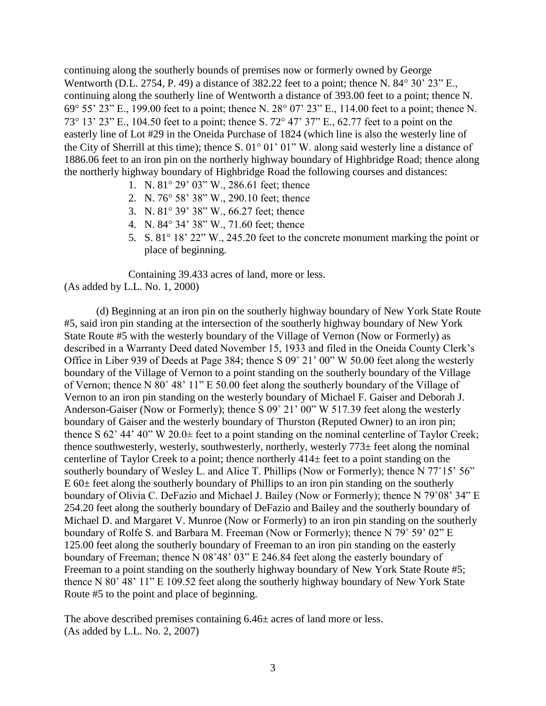continuing along the southerly bounds of premises now or formerly owned by George Wentworth (D.L. 2754, P. 49) a distance of 382.22 feet to a point; thence N.  $84^{\circ}$  30' 23" E., continuing along the southerly line of Wentworth a distance of 393.00 feet to a point; thence N. 69 $^{\circ}$  55' 23" E., 199.00 feet to a point; thence N. 28 $^{\circ}$  07' 23" E., 114.00 feet to a point; thence N. 73° 13' 23" E., 104.50 feet to a point; thence S. 72° 47' 37" E., 62.77 feet to a point on the easterly line of Lot #29 in the Oneida Purchase of 1824 (which line is also the westerly line of the City of Sherrill at this time); thence S.  $01^{\circ}$  01' 01" W. along said westerly line a distance of 1886.06 feet to an iron pin on the northerly highway boundary of Highbridge Road; thence along the northerly highway boundary of Highbridge Road the following courses and distances:

- 1. N.  $81^{\circ}$  29' 03" W., 286.61 feet; thence
- 2. N. 76° 58' 38" W., 290.10 feet; thence
- 3. N.  $81^{\circ}$  39' 38" W., 66.27 feet; thence
- 4. N.  $84^{\circ}$  34' 38" W., 71.60 feet; thence
- 5. S.  $81^{\circ}$  18' 22" W., 245.20 feet to the concrete monument marking the point or place of beginning.

Containing 39.433 acres of land, more or less. (As added by L.L. No. 1, 2000)

(d) Beginning at an iron pin on the southerly highway boundary of New York State Route #5, said iron pin standing at the intersection of the southerly highway boundary of New York State Route #5 with the westerly boundary of the Village of Vernon (Now or Formerly) as described in a Warranty Deed dated November 15, 1933 and filed in the Oneida County Clerk's Office in Liber 939 of Deeds at Page 384; thence S 09˚ 21' 00" W 50.00 feet along the westerly boundary of the Village of Vernon to a point standing on the southerly boundary of the Village of Vernon; thence N 80˚ 48' 11" E 50.00 feet along the southerly boundary of the Village of Vernon to an iron pin standing on the westerly boundary of Michael F. Gaiser and Deborah J. Anderson-Gaiser (Now or Formerly); thence S 09˚ 21' 00" W 517.39 feet along the westerly boundary of Gaiser and the westerly boundary of Thurston (Reputed Owner) to an iron pin; thence S  $62^{\circ}$  44' 40" W  $20.0\pm$  feet to a point standing on the nominal centerline of Taylor Creek; thence southwesterly, westerly, southwesterly, northerly, westerly 773± feet along the nominal centerline of Taylor Creek to a point; thence northerly 414± feet to a point standing on the southerly boundary of Wesley L. and Alice T. Phillips (Now or Formerly); thence N 77°15' 56"  $E$  60 $\pm$  feet along the southerly boundary of Phillips to an iron pin standing on the southerly boundary of Olivia C. DeFazio and Michael J. Bailey (Now or Formerly); thence N 79˚08' 34" E 254.20 feet along the southerly boundary of DeFazio and Bailey and the southerly boundary of Michael D. and Margaret V. Munroe (Now or Formerly) to an iron pin standing on the southerly boundary of Rolfe S. and Barbara M. Freeman (Now or Formerly); thence N 79˚ 59' 02" E 125.00 feet along the southerly boundary of Freeman to an iron pin standing on the easterly boundary of Freeman; thence N 08˚48' 03" E 246.84 feet along the easterly boundary of Freeman to a point standing on the southerly highway boundary of New York State Route #5; thence N 80˚ 48' 11" E 109.52 feet along the southerly highway boundary of New York State Route #5 to the point and place of beginning.

The above described premises containing  $6.46\pm$  acres of land more or less. (As added by L.L. No. 2, 2007)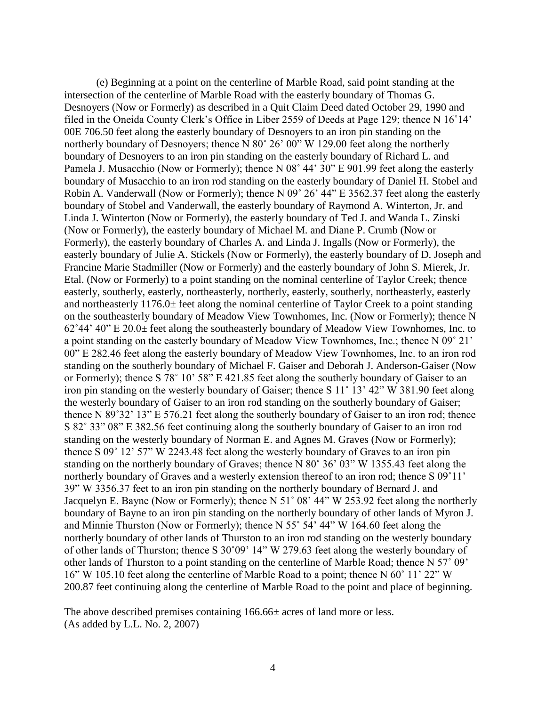(e) Beginning at a point on the centerline of Marble Road, said point standing at the intersection of the centerline of Marble Road with the easterly boundary of Thomas G. Desnoyers (Now or Formerly) as described in a Quit Claim Deed dated October 29, 1990 and filed in the Oneida County Clerk's Office in Liber 2559 of Deeds at Page 129; thence N 16˚14' 00E 706.50 feet along the easterly boundary of Desnoyers to an iron pin standing on the northerly boundary of Desnoyers; thence N 80° 26' 00" W 129.00 feet along the northerly boundary of Desnoyers to an iron pin standing on the easterly boundary of Richard L. and Pamela J. Musacchio (Now or Formerly); thence N 08˚ 44' 30" E 901.99 feet along the easterly boundary of Musacchio to an iron rod standing on the easterly boundary of Daniel H. Stobel and Robin A. Vanderwall (Now or Formerly); thence N 09˚ 26' 44" E 3562.37 feet along the easterly boundary of Stobel and Vanderwall, the easterly boundary of Raymond A. Winterton, Jr. and Linda J. Winterton (Now or Formerly), the easterly boundary of Ted J. and Wanda L. Zinski (Now or Formerly), the easterly boundary of Michael M. and Diane P. Crumb (Now or Formerly), the easterly boundary of Charles A. and Linda J. Ingalls (Now or Formerly), the easterly boundary of Julie A. Stickels (Now or Formerly), the easterly boundary of D. Joseph and Francine Marie Stadmiller (Now or Formerly) and the easterly boundary of John S. Mierek, Jr. Etal. (Now or Formerly) to a point standing on the nominal centerline of Taylor Creek; thence easterly, southerly, easterly, northeasterly, northerly, easterly, southerly, northeasterly, easterly and northeasterly 1176.0± feet along the nominal centerline of Taylor Creek to a point standing on the southeasterly boundary of Meadow View Townhomes, Inc. (Now or Formerly); thence N  $62^{\circ}44'$  40" E 20.0 $\pm$  feet along the southeasterly boundary of Meadow View Townhomes, Inc. to a point standing on the easterly boundary of Meadow View Townhomes, Inc.; thence N 09˚ 21' 00" E 282.46 feet along the easterly boundary of Meadow View Townhomes, Inc. to an iron rod standing on the southerly boundary of Michael F. Gaiser and Deborah J. Anderson-Gaiser (Now or Formerly); thence S 78˚ 10' 58" E 421.85 feet along the southerly boundary of Gaiser to an iron pin standing on the westerly boundary of Gaiser; thence S 11˚ 13' 42" W 381.90 feet along the westerly boundary of Gaiser to an iron rod standing on the southerly boundary of Gaiser; thence N 89˚32' 13" E 576.21 feet along the southerly boundary of Gaiser to an iron rod; thence S 82˚ 33" 08" E 382.56 feet continuing along the southerly boundary of Gaiser to an iron rod standing on the westerly boundary of Norman E. and Agnes M. Graves (Now or Formerly); thence S 09˚ 12' 57" W 2243.48 feet along the westerly boundary of Graves to an iron pin standing on the northerly boundary of Graves; thence N 80˚ 36' 03" W 1355.43 feet along the northerly boundary of Graves and a westerly extension thereof to an iron rod; thence S 09˚11' 39" W 3356.37 feet to an iron pin standing on the northerly boundary of Bernard J. and Jacquelyn E. Bayne (Now or Formerly); thence N 51˚ 08' 44" W 253.92 feet along the northerly boundary of Bayne to an iron pin standing on the northerly boundary of other lands of Myron J. and Minnie Thurston (Now or Formerly); thence N 55˚ 54' 44" W 164.60 feet along the northerly boundary of other lands of Thurston to an iron rod standing on the westerly boundary of other lands of Thurston; thence S 30˚09' 14" W 279.63 feet along the westerly boundary of other lands of Thurston to a point standing on the centerline of Marble Road; thence N 57˚ 09' 16" W 105.10 feet along the centerline of Marble Road to a point; thence N 60˚ 11' 22" W 200.87 feet continuing along the centerline of Marble Road to the point and place of beginning.

The above described premises containing 166.66± acres of land more or less. (As added by L.L. No. 2, 2007)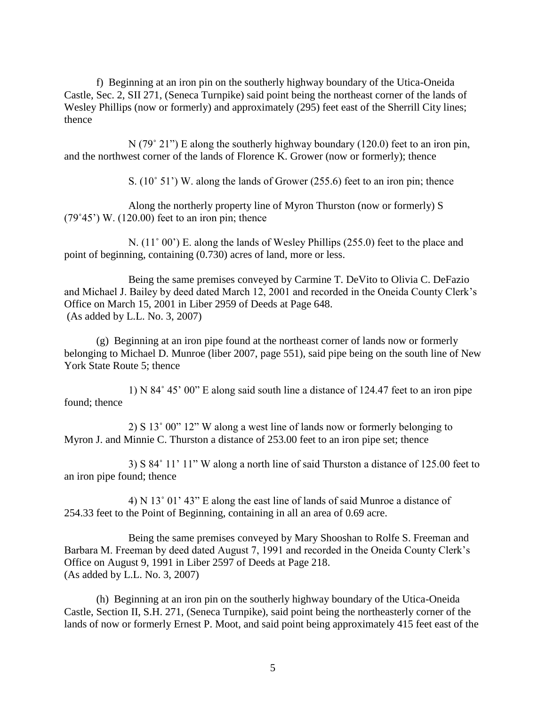f) Beginning at an iron pin on the southerly highway boundary of the Utica-Oneida Castle, Sec. 2, SII 271, (Seneca Turnpike) said point being the northeast corner of the lands of Wesley Phillips (now or formerly) and approximately (295) feet east of the Sherrill City lines; thence

 $N(79° 21'')$  E along the southerly highway boundary (120.0) feet to an iron pin, and the northwest corner of the lands of Florence K. Grower (now or formerly); thence

S. (10˚ 51') W. along the lands of Grower (255.6) feet to an iron pin; thence

Along the northerly property line of Myron Thurston (now or formerly) S  $(79°45')$  W.  $(120.00)$  feet to an iron pin; thence

N. (11° 00') E. along the lands of Wesley Phillips (255.0) feet to the place and point of beginning, containing (0.730) acres of land, more or less.

Being the same premises conveyed by Carmine T. DeVito to Olivia C. DeFazio and Michael J. Bailey by deed dated March 12, 2001 and recorded in the Oneida County Clerk's Office on March 15, 2001 in Liber 2959 of Deeds at Page 648. (As added by L.L. No. 3, 2007)

(g) Beginning at an iron pipe found at the northeast corner of lands now or formerly belonging to Michael D. Munroe (liber 2007, page 551), said pipe being on the south line of New York State Route 5; thence

1) N 84˚ 45' 00" E along said south line a distance of 124.47 feet to an iron pipe found; thence

2) S 13˚ 00" 12" W along a west line of lands now or formerly belonging to Myron J. and Minnie C. Thurston a distance of 253.00 feet to an iron pipe set; thence

3) S 84˚ 11' 11" W along a north line of said Thurston a distance of 125.00 feet to an iron pipe found; thence

4) N 13˚ 01' 43" E along the east line of lands of said Munroe a distance of 254.33 feet to the Point of Beginning, containing in all an area of 0.69 acre.

Being the same premises conveyed by Mary Shooshan to Rolfe S. Freeman and Barbara M. Freeman by deed dated August 7, 1991 and recorded in the Oneida County Clerk's Office on August 9, 1991 in Liber 2597 of Deeds at Page 218. (As added by L.L. No. 3, 2007)

(h) Beginning at an iron pin on the southerly highway boundary of the Utica-Oneida Castle, Section II, S.H. 271, (Seneca Turnpike), said point being the northeasterly corner of the lands of now or formerly Ernest P. Moot, and said point being approximately 415 feet east of the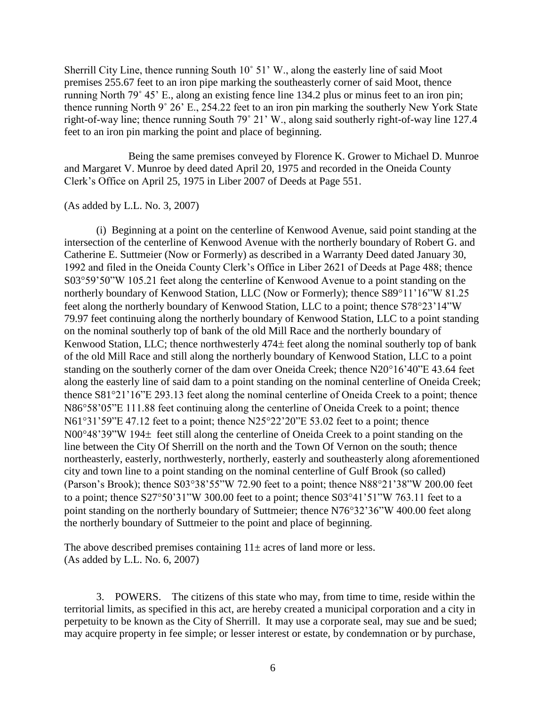Sherrill City Line, thence running South 10˚ 51' W., along the easterly line of said Moot premises 255.67 feet to an iron pipe marking the southeasterly corner of said Moot, thence running North 79˚ 45' E., along an existing fence line 134.2 plus or minus feet to an iron pin; thence running North 9˚ 26' E., 254.22 feet to an iron pin marking the southerly New York State right-of-way line; thence running South 79˚ 21' W., along said southerly right-of-way line 127.4 feet to an iron pin marking the point and place of beginning.

Being the same premises conveyed by Florence K. Grower to Michael D. Munroe and Margaret V. Munroe by deed dated April 20, 1975 and recorded in the Oneida County Clerk's Office on April 25, 1975 in Liber 2007 of Deeds at Page 551.

#### (As added by L.L. No. 3, 2007)

(i) Beginning at a point on the centerline of Kenwood Avenue, said point standing at the intersection of the centerline of Kenwood Avenue with the northerly boundary of Robert G. and Catherine E. Suttmeier (Now or Formerly) as described in a Warranty Deed dated January 30, 1992 and filed in the Oneida County Clerk's Office in Liber 2621 of Deeds at Page 488; thence S0359'50"W 105.21 feet along the centerline of Kenwood Avenue to a point standing on the northerly boundary of Kenwood Station, LLC (Now or Formerly); thence S89°11'16"W 81.25 feet along the northerly boundary of Kenwood Station, LLC to a point; thence S7823'14"W 79.97 feet continuing along the northerly boundary of Kenwood Station, LLC to a point standing on the nominal southerly top of bank of the old Mill Race and the northerly boundary of Kenwood Station, LLC; thence northwesterly  $474\pm$  feet along the nominal southerly top of bank of the old Mill Race and still along the northerly boundary of Kenwood Station, LLC to a point standing on the southerly corner of the dam over Oneida Creek; thence  $N20^{\circ}16'40''E 43.64$  feet along the easterly line of said dam to a point standing on the nominal centerline of Oneida Creek; thence S8121'16"E 293.13 feet along the nominal centerline of Oneida Creek to a point; thence N86°58'05"E 111.88 feet continuing along the centerline of Oneida Creek to a point; thence N61 $\degree$ 31'59"E 47.12 feet to a point; thence N25 $\degree$ 22'20"E 53.02 feet to a point; thence  $N00^{\circ}48'39''W194\pm$  feet still along the centerline of Oneida Creek to a point standing on the line between the City Of Sherrill on the north and the Town Of Vernon on the south; thence northeasterly, easterly, northwesterly, northerly, easterly and southeasterly along aforementioned city and town line to a point standing on the nominal centerline of Gulf Brook (so called) (Parson's Brook); thence  $S03^{\circ}38'55''W$  72.90 feet to a point; thence N88°21'38"W 200.00 feet to a point; thence  $S27^{\circ}50'31''W300.00$  feet to a point; thence  $S03^{\circ}41'51''W763.11$  feet to a point standing on the northerly boundary of Suttmeier; thence N76°32'36"W 400.00 feet along the northerly boundary of Suttmeier to the point and place of beginning.

The above described premises containing  $11\pm$  acres of land more or less. (As added by L.L. No. 6, 2007)

3. POWERS. The citizens of this state who may, from time to time, reside within the territorial limits, as specified in this act, are hereby created a municipal corporation and a city in perpetuity to be known as the City of Sherrill. It may use a corporate seal, may sue and be sued; may acquire property in fee simple; or lesser interest or estate, by condemnation or by purchase,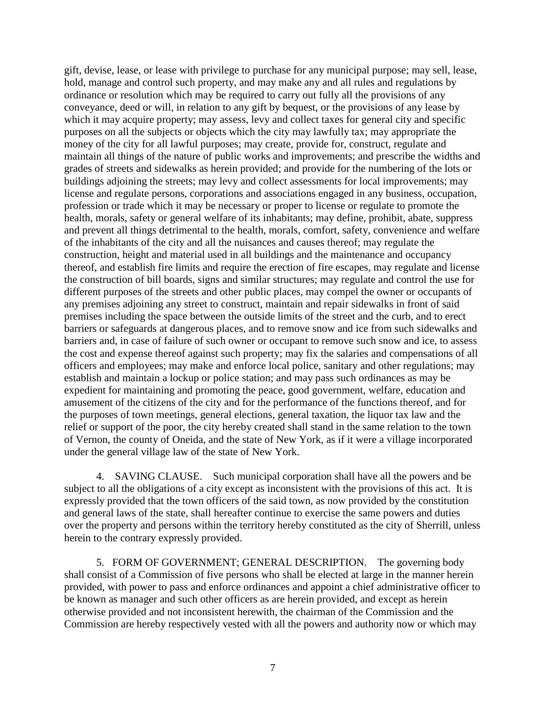gift, devise, lease, or lease with privilege to purchase for any municipal purpose; may sell, lease, hold, manage and control such property, and may make any and all rules and regulations by ordinance or resolution which may be required to carry out fully all the provisions of any conveyance, deed or will, in relation to any gift by bequest, or the provisions of any lease by which it may acquire property; may assess, levy and collect taxes for general city and specific purposes on all the subjects or objects which the city may lawfully tax; may appropriate the money of the city for all lawful purposes; may create, provide for, construct, regulate and maintain all things of the nature of public works and improvements; and prescribe the widths and grades of streets and sidewalks as herein provided; and provide for the numbering of the lots or buildings adjoining the streets; may levy and collect assessments for local improvements; may license and regulate persons, corporations and associations engaged in any business, occupation, profession or trade which it may be necessary or proper to license or regulate to promote the health, morals, safety or general welfare of its inhabitants; may define, prohibit, abate, suppress and prevent all things detrimental to the health, morals, comfort, safety, convenience and welfare of the inhabitants of the city and all the nuisances and causes thereof; may regulate the construction, height and material used in all buildings and the maintenance and occupancy thereof, and establish fire limits and require the erection of fire escapes, may regulate and license the construction of bill boards, signs and similar structures; may regulate and control the use for different purposes of the streets and other public places, may compel the owner or occupants of any premises adjoining any street to construct, maintain and repair sidewalks in front of said premises including the space between the outside limits of the street and the curb, and to erect barriers or safeguards at dangerous places, and to remove snow and ice from such sidewalks and barriers and, in case of failure of such owner or occupant to remove such snow and ice, to assess the cost and expense thereof against such property; may fix the salaries and compensations of all officers and employees; may make and enforce local police, sanitary and other regulations; may establish and maintain a lockup or police station; and may pass such ordinances as may be expedient for maintaining and promoting the peace, good government, welfare, education and amusement of the citizens of the city and for the performance of the functions thereof, and for the purposes of town meetings, general elections, general taxation, the liquor tax law and the relief or support of the poor, the city hereby created shall stand in the same relation to the town of Vernon, the county of Oneida, and the state of New York, as if it were a village incorporated under the general village law of the state of New York.

4. SAVING CLAUSE. Such municipal corporation shall have all the powers and be subject to all the obligations of a city except as inconsistent with the provisions of this act. It is expressly provided that the town officers of the said town, as now provided by the constitution and general laws of the state, shall hereafter continue to exercise the same powers and duties over the property and persons within the territory hereby constituted as the city of Sherrill, unless herein to the contrary expressly provided.

5. FORM OF GOVERNMENT; GENERAL DESCRIPTION. The governing body shall consist of a Commission of five persons who shall be elected at large in the manner herein provided, with power to pass and enforce ordinances and appoint a chief administrative officer to be known as manager and such other officers as are herein provided, and except as herein otherwise provided and not inconsistent herewith, the chairman of the Commission and the Commission are hereby respectively vested with all the powers and authority now or which may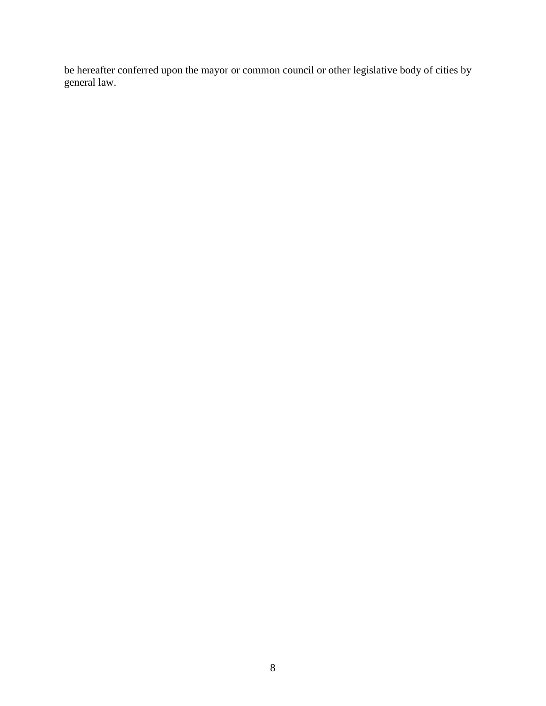be hereafter conferred upon the mayor or common council or other legislative body of cities by general law.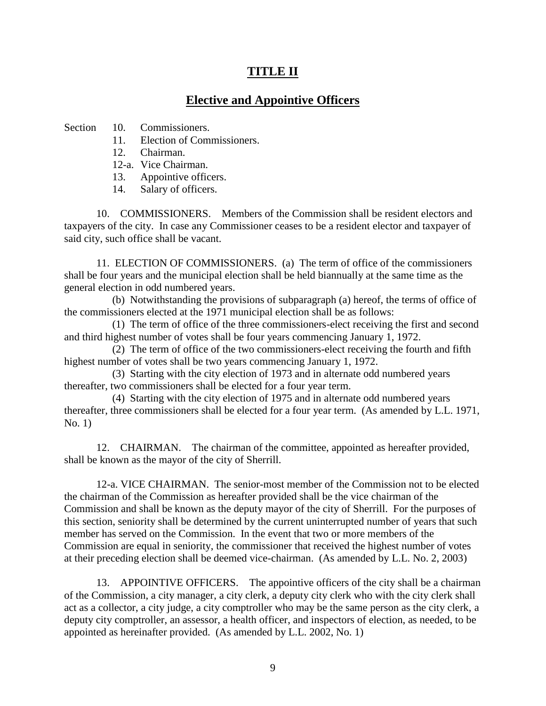# **TITLE II**

## **Elective and Appointive Officers**

Section 10. Commissioners.

- 11. Election of Commissioners.
- 12. Chairman.
- 12-a. Vice Chairman.
- 13. Appointive officers.
- 14. Salary of officers.

10. COMMISSIONERS. Members of the Commission shall be resident electors and taxpayers of the city. In case any Commissioner ceases to be a resident elector and taxpayer of said city, such office shall be vacant.

11. ELECTION OF COMMISSIONERS. (a) The term of office of the commissioners shall be four years and the municipal election shall be held biannually at the same time as the general election in odd numbered years.

(b) Notwithstanding the provisions of subparagraph (a) hereof, the terms of office of the commissioners elected at the 1971 municipal election shall be as follows:

(1) The term of office of the three commissioners-elect receiving the first and second and third highest number of votes shall be four years commencing January 1, 1972.

(2) The term of office of the two commissioners-elect receiving the fourth and fifth highest number of votes shall be two years commencing January 1, 1972.

(3) Starting with the city election of 1973 and in alternate odd numbered years thereafter, two commissioners shall be elected for a four year term.

(4) Starting with the city election of 1975 and in alternate odd numbered years thereafter, three commissioners shall be elected for a four year term. (As amended by L.L. 1971, No. 1)

12. CHAIRMAN. The chairman of the committee, appointed as hereafter provided, shall be known as the mayor of the city of Sherrill.

12-a. VICE CHAIRMAN. The senior-most member of the Commission not to be elected the chairman of the Commission as hereafter provided shall be the vice chairman of the Commission and shall be known as the deputy mayor of the city of Sherrill. For the purposes of this section, seniority shall be determined by the current uninterrupted number of years that such member has served on the Commission. In the event that two or more members of the Commission are equal in seniority, the commissioner that received the highest number of votes at their preceding election shall be deemed vice-chairman. (As amended by L.L. No. 2, 2003)

13. APPOINTIVE OFFICERS. The appointive officers of the city shall be a chairman of the Commission, a city manager, a city clerk, a deputy city clerk who with the city clerk shall act as a collector, a city judge, a city comptroller who may be the same person as the city clerk, a deputy city comptroller, an assessor, a health officer, and inspectors of election, as needed, to be appointed as hereinafter provided. (As amended by L.L. 2002, No. 1)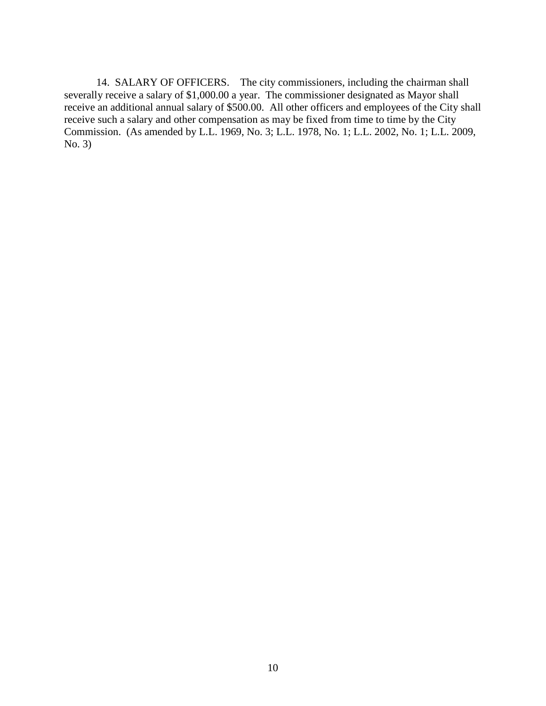14. SALARY OF OFFICERS. The city commissioners, including the chairman shall severally receive a salary of \$1,000.00 a year. The commissioner designated as Mayor shall receive an additional annual salary of \$500.00. All other officers and employees of the City shall receive such a salary and other compensation as may be fixed from time to time by the City Commission. (As amended by L.L. 1969, No. 3; L.L. 1978, No. 1; L.L. 2002, No. 1; L.L. 2009, No. 3)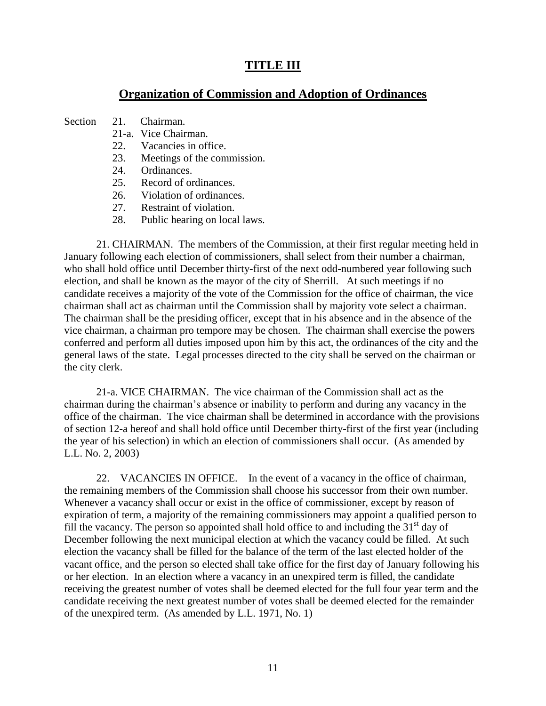## **TITLE III**

### **Organization of Commission and Adoption of Ordinances**

- Section 21. Chairman.
	- 21-a. Vice Chairman.
	- 22. Vacancies in office.
	- 23. Meetings of the commission.
	- 24. Ordinances.
	- 25. Record of ordinances.
	- 26. Violation of ordinances.
	- 27. Restraint of violation.
	- 28. Public hearing on local laws.

21. CHAIRMAN. The members of the Commission, at their first regular meeting held in January following each election of commissioners, shall select from their number a chairman, who shall hold office until December thirty-first of the next odd-numbered year following such election, and shall be known as the mayor of the city of Sherrill. At such meetings if no candidate receives a majority of the vote of the Commission for the office of chairman, the vice chairman shall act as chairman until the Commission shall by majority vote select a chairman. The chairman shall be the presiding officer, except that in his absence and in the absence of the vice chairman, a chairman pro tempore may be chosen. The chairman shall exercise the powers conferred and perform all duties imposed upon him by this act, the ordinances of the city and the general laws of the state. Legal processes directed to the city shall be served on the chairman or the city clerk.

21-a. VICE CHAIRMAN. The vice chairman of the Commission shall act as the chairman during the chairman's absence or inability to perform and during any vacancy in the office of the chairman. The vice chairman shall be determined in accordance with the provisions of section 12-a hereof and shall hold office until December thirty-first of the first year (including the year of his selection) in which an election of commissioners shall occur. (As amended by L.L. No. 2, 2003)

22. VACANCIES IN OFFICE. In the event of a vacancy in the office of chairman, the remaining members of the Commission shall choose his successor from their own number. Whenever a vacancy shall occur or exist in the office of commissioner, except by reason of expiration of term, a majority of the remaining commissioners may appoint a qualified person to fill the vacancy. The person so appointed shall hold office to and including the  $31<sup>st</sup>$  day of December following the next municipal election at which the vacancy could be filled. At such election the vacancy shall be filled for the balance of the term of the last elected holder of the vacant office, and the person so elected shall take office for the first day of January following his or her election. In an election where a vacancy in an unexpired term is filled, the candidate receiving the greatest number of votes shall be deemed elected for the full four year term and the candidate receiving the next greatest number of votes shall be deemed elected for the remainder of the unexpired term. (As amended by L.L. 1971, No. 1)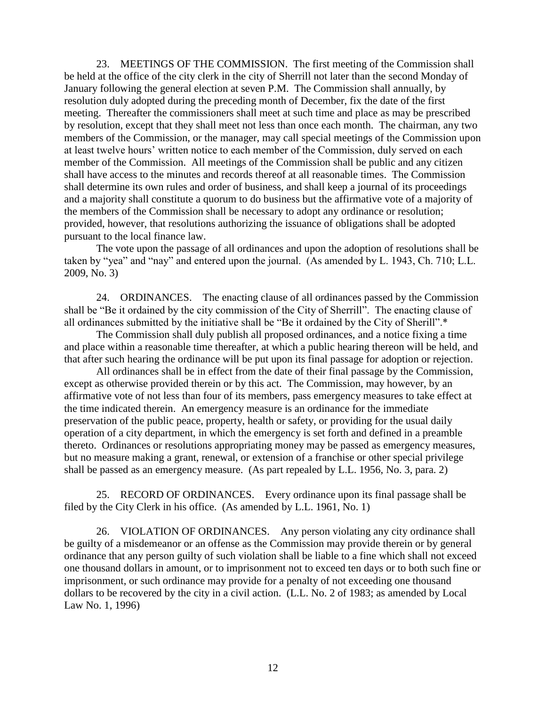23. MEETINGS OF THE COMMISSION. The first meeting of the Commission shall be held at the office of the city clerk in the city of Sherrill not later than the second Monday of January following the general election at seven P.M. The Commission shall annually, by resolution duly adopted during the preceding month of December, fix the date of the first meeting. Thereafter the commissioners shall meet at such time and place as may be prescribed by resolution, except that they shall meet not less than once each month. The chairman, any two members of the Commission, or the manager, may call special meetings of the Commission upon at least twelve hours' written notice to each member of the Commission, duly served on each member of the Commission. All meetings of the Commission shall be public and any citizen shall have access to the minutes and records thereof at all reasonable times. The Commission shall determine its own rules and order of business, and shall keep a journal of its proceedings and a majority shall constitute a quorum to do business but the affirmative vote of a majority of the members of the Commission shall be necessary to adopt any ordinance or resolution; provided, however, that resolutions authorizing the issuance of obligations shall be adopted pursuant to the local finance law.

The vote upon the passage of all ordinances and upon the adoption of resolutions shall be taken by "yea" and "nay" and entered upon the journal. (As amended by L. 1943, Ch. 710; L.L. 2009, No. 3)

24. ORDINANCES. The enacting clause of all ordinances passed by the Commission shall be "Be it ordained by the city commission of the City of Sherrill". The enacting clause of all ordinances submitted by the initiative shall be "Be it ordained by the City of Sherill".\*

The Commission shall duly publish all proposed ordinances, and a notice fixing a time and place within a reasonable time thereafter, at which a public hearing thereon will be held, and that after such hearing the ordinance will be put upon its final passage for adoption or rejection.

All ordinances shall be in effect from the date of their final passage by the Commission, except as otherwise provided therein or by this act. The Commission, may however, by an affirmative vote of not less than four of its members, pass emergency measures to take effect at the time indicated therein. An emergency measure is an ordinance for the immediate preservation of the public peace, property, health or safety, or providing for the usual daily operation of a city department, in which the emergency is set forth and defined in a preamble thereto. Ordinances or resolutions appropriating money may be passed as emergency measures, but no measure making a grant, renewal, or extension of a franchise or other special privilege shall be passed as an emergency measure. (As part repealed by L.L. 1956, No. 3, para. 2)

25. RECORD OF ORDINANCES. Every ordinance upon its final passage shall be filed by the City Clerk in his office. (As amended by L.L. 1961, No. 1)

26. VIOLATION OF ORDINANCES. Any person violating any city ordinance shall be guilty of a misdemeanor or an offense as the Commission may provide therein or by general ordinance that any person guilty of such violation shall be liable to a fine which shall not exceed one thousand dollars in amount, or to imprisonment not to exceed ten days or to both such fine or imprisonment, or such ordinance may provide for a penalty of not exceeding one thousand dollars to be recovered by the city in a civil action. (L.L. No. 2 of 1983; as amended by Local Law No. 1, 1996)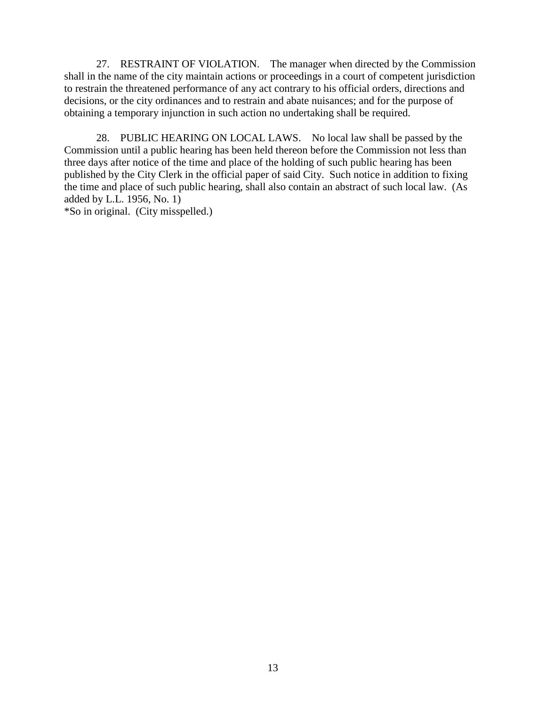27. RESTRAINT OF VIOLATION. The manager when directed by the Commission shall in the name of the city maintain actions or proceedings in a court of competent jurisdiction to restrain the threatened performance of any act contrary to his official orders, directions and decisions, or the city ordinances and to restrain and abate nuisances; and for the purpose of obtaining a temporary injunction in such action no undertaking shall be required.

28. PUBLIC HEARING ON LOCAL LAWS. No local law shall be passed by the Commission until a public hearing has been held thereon before the Commission not less than three days after notice of the time and place of the holding of such public hearing has been published by the City Clerk in the official paper of said City. Such notice in addition to fixing the time and place of such public hearing, shall also contain an abstract of such local law. (As added by L.L. 1956, No. 1)

\*So in original. (City misspelled.)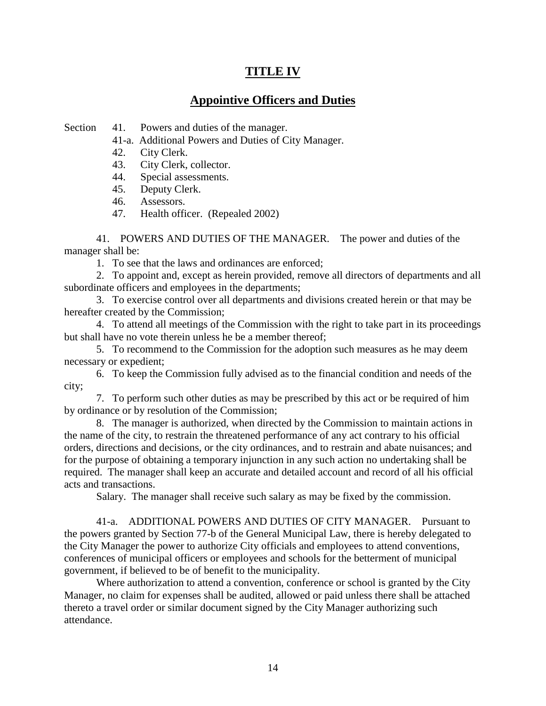# **TITLE IV**

# **Appointive Officers and Duties**

Section 41. Powers and duties of the manager.

41-a. Additional Powers and Duties of City Manager.

42. City Clerk.

43. City Clerk, collector.

44. Special assessments.

45. Deputy Clerk.

46. Assessors.

47. Health officer. (Repealed 2002)

41. POWERS AND DUTIES OF THE MANAGER. The power and duties of the manager shall be:

1. To see that the laws and ordinances are enforced;

2. To appoint and, except as herein provided, remove all directors of departments and all subordinate officers and employees in the departments;

3. To exercise control over all departments and divisions created herein or that may be hereafter created by the Commission;

4. To attend all meetings of the Commission with the right to take part in its proceedings but shall have no vote therein unless he be a member thereof;

5. To recommend to the Commission for the adoption such measures as he may deem necessary or expedient;

6. To keep the Commission fully advised as to the financial condition and needs of the city;

7. To perform such other duties as may be prescribed by this act or be required of him by ordinance or by resolution of the Commission;

8. The manager is authorized, when directed by the Commission to maintain actions in the name of the city, to restrain the threatened performance of any act contrary to his official orders, directions and decisions, or the city ordinances, and to restrain and abate nuisances; and for the purpose of obtaining a temporary injunction in any such action no undertaking shall be required. The manager shall keep an accurate and detailed account and record of all his official acts and transactions.

Salary. The manager shall receive such salary as may be fixed by the commission.

41-a. ADDITIONAL POWERS AND DUTIES OF CITY MANAGER. Pursuant to the powers granted by Section 77-b of the General Municipal Law, there is hereby delegated to the City Manager the power to authorize City officials and employees to attend conventions, conferences of municipal officers or employees and schools for the betterment of municipal government, if believed to be of benefit to the municipality.

Where authorization to attend a convention, conference or school is granted by the City Manager, no claim for expenses shall be audited, allowed or paid unless there shall be attached thereto a travel order or similar document signed by the City Manager authorizing such attendance.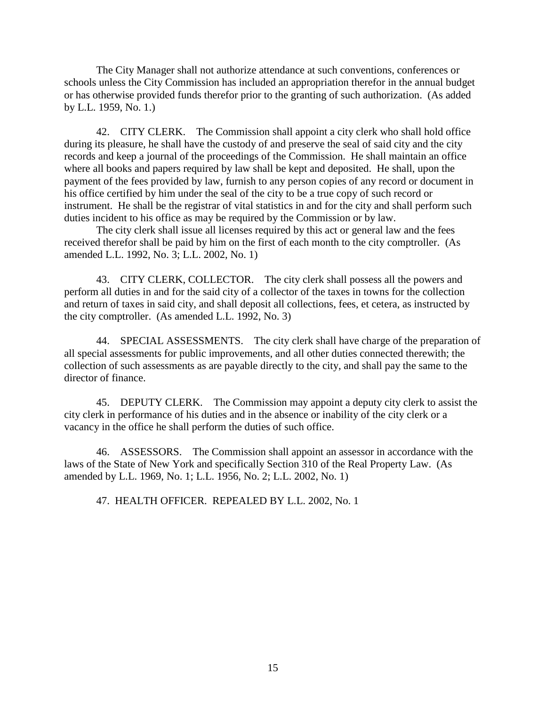The City Manager shall not authorize attendance at such conventions, conferences or schools unless the City Commission has included an appropriation therefor in the annual budget or has otherwise provided funds therefor prior to the granting of such authorization. (As added by L.L. 1959, No. 1.)

42. CITY CLERK. The Commission shall appoint a city clerk who shall hold office during its pleasure, he shall have the custody of and preserve the seal of said city and the city records and keep a journal of the proceedings of the Commission. He shall maintain an office where all books and papers required by law shall be kept and deposited. He shall, upon the payment of the fees provided by law, furnish to any person copies of any record or document in his office certified by him under the seal of the city to be a true copy of such record or instrument. He shall be the registrar of vital statistics in and for the city and shall perform such duties incident to his office as may be required by the Commission or by law.

The city clerk shall issue all licenses required by this act or general law and the fees received therefor shall be paid by him on the first of each month to the city comptroller. (As amended L.L. 1992, No. 3; L.L. 2002, No. 1)

43. CITY CLERK, COLLECTOR. The city clerk shall possess all the powers and perform all duties in and for the said city of a collector of the taxes in towns for the collection and return of taxes in said city, and shall deposit all collections, fees, et cetera, as instructed by the city comptroller. (As amended L.L. 1992, No. 3)

44. SPECIAL ASSESSMENTS. The city clerk shall have charge of the preparation of all special assessments for public improvements, and all other duties connected therewith; the collection of such assessments as are payable directly to the city, and shall pay the same to the director of finance.

45. DEPUTY CLERK. The Commission may appoint a deputy city clerk to assist the city clerk in performance of his duties and in the absence or inability of the city clerk or a vacancy in the office he shall perform the duties of such office.

46. ASSESSORS. The Commission shall appoint an assessor in accordance with the laws of the State of New York and specifically Section 310 of the Real Property Law. (As amended by L.L. 1969, No. 1; L.L. 1956, No. 2; L.L. 2002, No. 1)

47. HEALTH OFFICER. REPEALED BY L.L. 2002, No. 1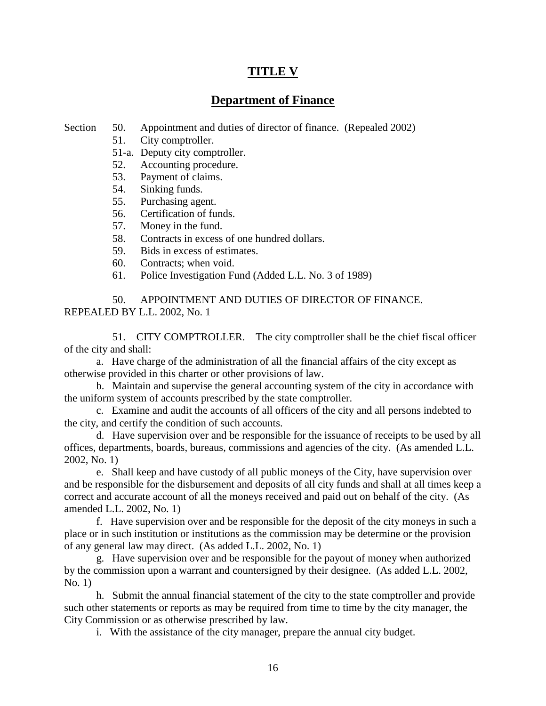# **TITLE V**

## **Department of Finance**

- Section 50. Appointment and duties of director of finance. (Repealed 2002)
	- 51. City comptroller.
	- 51-a. Deputy city comptroller.
	- 52. Accounting procedure.
	- 53. Payment of claims.
	- 54. Sinking funds.
	- 55. Purchasing agent.
	- 56. Certification of funds.
	- 57. Money in the fund.
	- 58. Contracts in excess of one hundred dollars.
	- 59. Bids in excess of estimates.
	- 60. Contracts; when void.
	- 61. Police Investigation Fund (Added L.L. No. 3 of 1989)

50. APPOINTMENT AND DUTIES OF DIRECTOR OF FINANCE. REPEALED BY L.L. 2002, No. 1

51. CITY COMPTROLLER. The city comptroller shall be the chief fiscal officer of the city and shall:

a. Have charge of the administration of all the financial affairs of the city except as otherwise provided in this charter or other provisions of law.

b. Maintain and supervise the general accounting system of the city in accordance with the uniform system of accounts prescribed by the state comptroller.

c. Examine and audit the accounts of all officers of the city and all persons indebted to the city, and certify the condition of such accounts.

d. Have supervision over and be responsible for the issuance of receipts to be used by all offices, departments, boards, bureaus, commissions and agencies of the city. (As amended L.L. 2002, No. 1)

e. Shall keep and have custody of all public moneys of the City, have supervision over and be responsible for the disbursement and deposits of all city funds and shall at all times keep a correct and accurate account of all the moneys received and paid out on behalf of the city. (As amended L.L. 2002, No. 1)

f. Have supervision over and be responsible for the deposit of the city moneys in such a place or in such institution or institutions as the commission may be determine or the provision of any general law may direct. (As added L.L. 2002, No. 1)

g. Have supervision over and be responsible for the payout of money when authorized by the commission upon a warrant and countersigned by their designee. (As added L.L. 2002, No. 1)

h. Submit the annual financial statement of the city to the state comptroller and provide such other statements or reports as may be required from time to time by the city manager, the City Commission or as otherwise prescribed by law.

i. With the assistance of the city manager, prepare the annual city budget.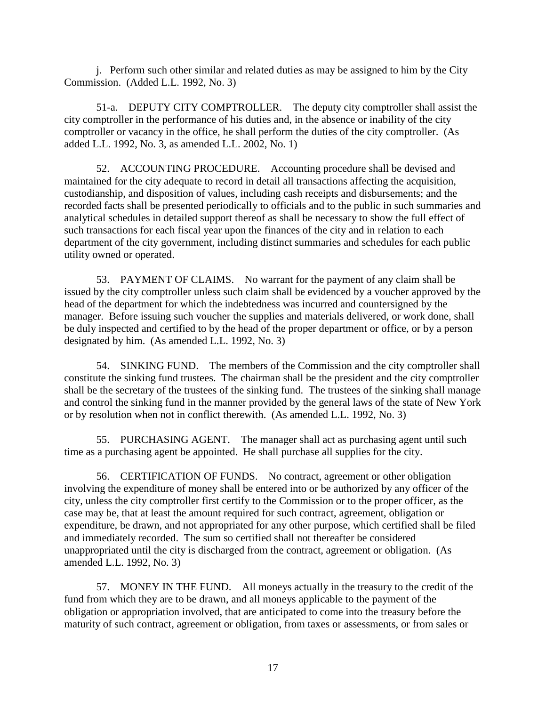j. Perform such other similar and related duties as may be assigned to him by the City Commission. (Added L.L. 1992, No. 3)

51-a. DEPUTY CITY COMPTROLLER. The deputy city comptroller shall assist the city comptroller in the performance of his duties and, in the absence or inability of the city comptroller or vacancy in the office, he shall perform the duties of the city comptroller. (As added L.L. 1992, No. 3, as amended L.L. 2002, No. 1)

52. ACCOUNTING PROCEDURE. Accounting procedure shall be devised and maintained for the city adequate to record in detail all transactions affecting the acquisition, custodianship, and disposition of values, including cash receipts and disbursements; and the recorded facts shall be presented periodically to officials and to the public in such summaries and analytical schedules in detailed support thereof as shall be necessary to show the full effect of such transactions for each fiscal year upon the finances of the city and in relation to each department of the city government, including distinct summaries and schedules for each public utility owned or operated.

53. PAYMENT OF CLAIMS. No warrant for the payment of any claim shall be issued by the city comptroller unless such claim shall be evidenced by a voucher approved by the head of the department for which the indebtedness was incurred and countersigned by the manager. Before issuing such voucher the supplies and materials delivered, or work done, shall be duly inspected and certified to by the head of the proper department or office, or by a person designated by him. (As amended L.L. 1992, No. 3)

54. SINKING FUND. The members of the Commission and the city comptroller shall constitute the sinking fund trustees. The chairman shall be the president and the city comptroller shall be the secretary of the trustees of the sinking fund. The trustees of the sinking shall manage and control the sinking fund in the manner provided by the general laws of the state of New York or by resolution when not in conflict therewith. (As amended L.L. 1992, No. 3)

55. PURCHASING AGENT. The manager shall act as purchasing agent until such time as a purchasing agent be appointed. He shall purchase all supplies for the city.

56. CERTIFICATION OF FUNDS. No contract, agreement or other obligation involving the expenditure of money shall be entered into or be authorized by any officer of the city, unless the city comptroller first certify to the Commission or to the proper officer, as the case may be, that at least the amount required for such contract, agreement, obligation or expenditure, be drawn, and not appropriated for any other purpose, which certified shall be filed and immediately recorded. The sum so certified shall not thereafter be considered unappropriated until the city is discharged from the contract, agreement or obligation. (As amended L.L. 1992, No. 3)

57. MONEY IN THE FUND. All moneys actually in the treasury to the credit of the fund from which they are to be drawn, and all moneys applicable to the payment of the obligation or appropriation involved, that are anticipated to come into the treasury before the maturity of such contract, agreement or obligation, from taxes or assessments, or from sales or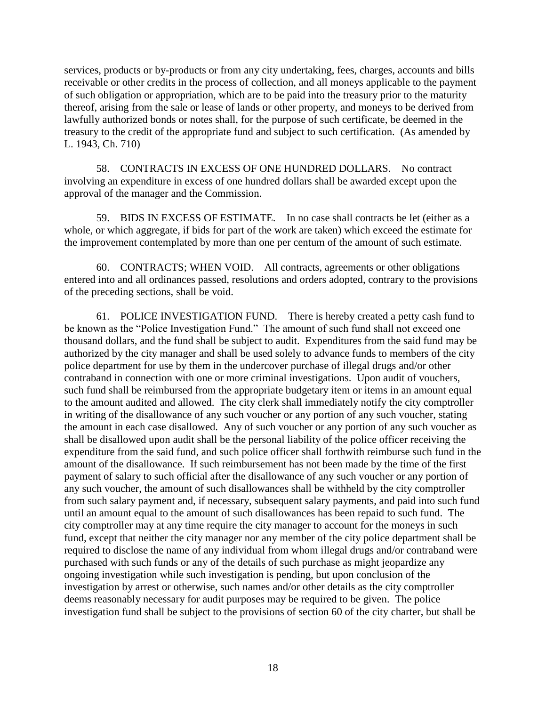services, products or by-products or from any city undertaking, fees, charges, accounts and bills receivable or other credits in the process of collection, and all moneys applicable to the payment of such obligation or appropriation, which are to be paid into the treasury prior to the maturity thereof, arising from the sale or lease of lands or other property, and moneys to be derived from lawfully authorized bonds or notes shall, for the purpose of such certificate, be deemed in the treasury to the credit of the appropriate fund and subject to such certification. (As amended by L. 1943, Ch. 710)

58. CONTRACTS IN EXCESS OF ONE HUNDRED DOLLARS. No contract involving an expenditure in excess of one hundred dollars shall be awarded except upon the approval of the manager and the Commission.

59. BIDS IN EXCESS OF ESTIMATE. In no case shall contracts be let (either as a whole, or which aggregate, if bids for part of the work are taken) which exceed the estimate for the improvement contemplated by more than one per centum of the amount of such estimate.

60. CONTRACTS; WHEN VOID. All contracts, agreements or other obligations entered into and all ordinances passed, resolutions and orders adopted, contrary to the provisions of the preceding sections, shall be void.

61. POLICE INVESTIGATION FUND. There is hereby created a petty cash fund to be known as the "Police Investigation Fund." The amount of such fund shall not exceed one thousand dollars, and the fund shall be subject to audit. Expenditures from the said fund may be authorized by the city manager and shall be used solely to advance funds to members of the city police department for use by them in the undercover purchase of illegal drugs and/or other contraband in connection with one or more criminal investigations. Upon audit of vouchers, such fund shall be reimbursed from the appropriate budgetary item or items in an amount equal to the amount audited and allowed. The city clerk shall immediately notify the city comptroller in writing of the disallowance of any such voucher or any portion of any such voucher, stating the amount in each case disallowed. Any of such voucher or any portion of any such voucher as shall be disallowed upon audit shall be the personal liability of the police officer receiving the expenditure from the said fund, and such police officer shall forthwith reimburse such fund in the amount of the disallowance. If such reimbursement has not been made by the time of the first payment of salary to such official after the disallowance of any such voucher or any portion of any such voucher, the amount of such disallowances shall be withheld by the city comptroller from such salary payment and, if necessary, subsequent salary payments, and paid into such fund until an amount equal to the amount of such disallowances has been repaid to such fund. The city comptroller may at any time require the city manager to account for the moneys in such fund, except that neither the city manager nor any member of the city police department shall be required to disclose the name of any individual from whom illegal drugs and/or contraband were purchased with such funds or any of the details of such purchase as might jeopardize any ongoing investigation while such investigation is pending, but upon conclusion of the investigation by arrest or otherwise, such names and/or other details as the city comptroller deems reasonably necessary for audit purposes may be required to be given. The police investigation fund shall be subject to the provisions of section 60 of the city charter, but shall be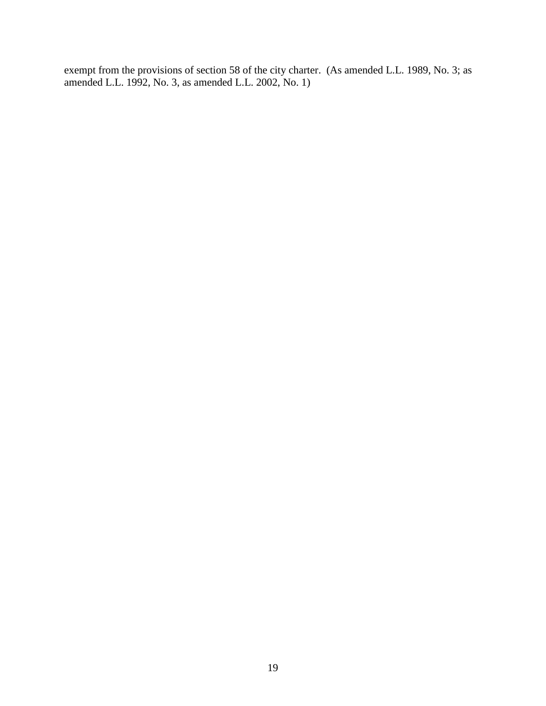exempt from the provisions of section 58 of the city charter. (As amended L.L. 1989, No. 3; as amended L.L. 1992, No. 3, as amended L.L. 2002, No. 1)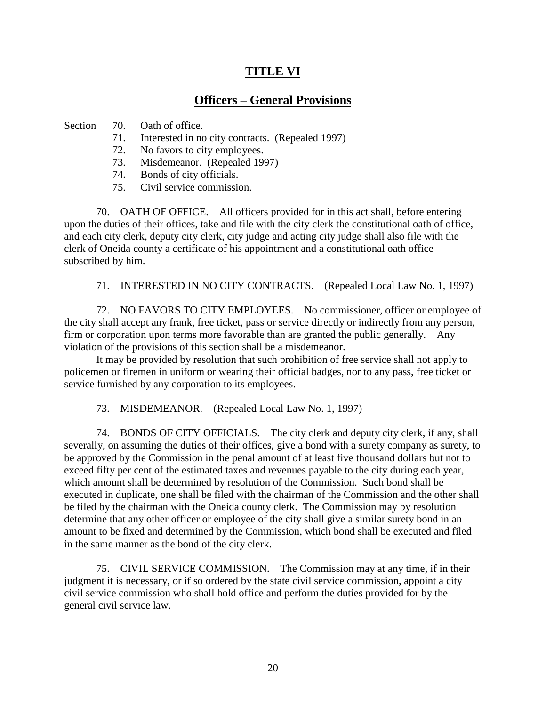## **TITLE VI**

# **Officers – General Provisions**

Section 70. Oath of office.

- 71. Interested in no city contracts. (Repealed 1997)
- 72. No favors to city employees.
- 73. Misdemeanor. (Repealed 1997)
- 74. Bonds of city officials.
- 75. Civil service commission.

70. OATH OF OFFICE. All officers provided for in this act shall, before entering upon the duties of their offices, take and file with the city clerk the constitutional oath of office, and each city clerk, deputy city clerk, city judge and acting city judge shall also file with the clerk of Oneida county a certificate of his appointment and a constitutional oath office subscribed by him.

71. INTERESTED IN NO CITY CONTRACTS. (Repealed Local Law No. 1, 1997)

72. NO FAVORS TO CITY EMPLOYEES. No commissioner, officer or employee of the city shall accept any frank, free ticket, pass or service directly or indirectly from any person, firm or corporation upon terms more favorable than are granted the public generally. Any violation of the provisions of this section shall be a misdemeanor.

It may be provided by resolution that such prohibition of free service shall not apply to policemen or firemen in uniform or wearing their official badges, nor to any pass, free ticket or service furnished by any corporation to its employees.

73. MISDEMEANOR. (Repealed Local Law No. 1, 1997)

74. BONDS OF CITY OFFICIALS. The city clerk and deputy city clerk, if any, shall severally, on assuming the duties of their offices, give a bond with a surety company as surety, to be approved by the Commission in the penal amount of at least five thousand dollars but not to exceed fifty per cent of the estimated taxes and revenues payable to the city during each year, which amount shall be determined by resolution of the Commission. Such bond shall be executed in duplicate, one shall be filed with the chairman of the Commission and the other shall be filed by the chairman with the Oneida county clerk. The Commission may by resolution determine that any other officer or employee of the city shall give a similar surety bond in an amount to be fixed and determined by the Commission, which bond shall be executed and filed in the same manner as the bond of the city clerk.

75. CIVIL SERVICE COMMISSION. The Commission may at any time, if in their judgment it is necessary, or if so ordered by the state civil service commission, appoint a city civil service commission who shall hold office and perform the duties provided for by the general civil service law.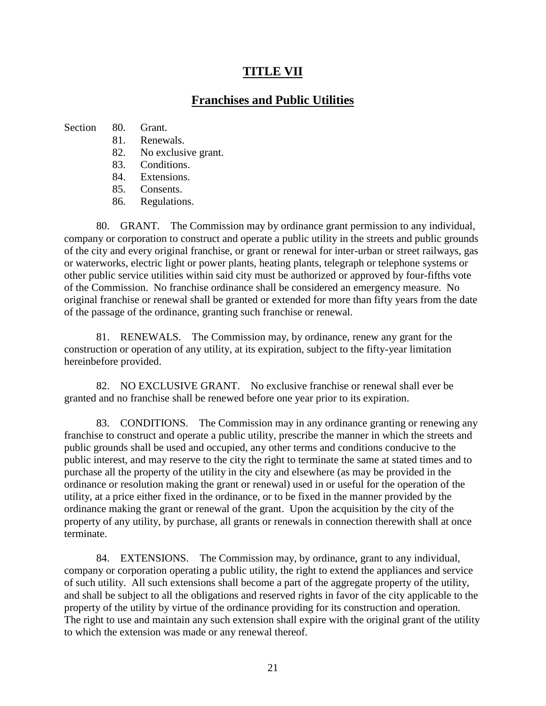# **TITLE VII**

## **Franchises and Public Utilities**

### Section 80. Grant.

- 81. Renewals.
- 82. No exclusive grant.
- 83. Conditions.
- 84. Extensions.
- 85. Consents.
- 86. Regulations.

80. GRANT. The Commission may by ordinance grant permission to any individual, company or corporation to construct and operate a public utility in the streets and public grounds of the city and every original franchise, or grant or renewal for inter-urban or street railways, gas or waterworks, electric light or power plants, heating plants, telegraph or telephone systems or other public service utilities within said city must be authorized or approved by four-fifths vote of the Commission. No franchise ordinance shall be considered an emergency measure. No original franchise or renewal shall be granted or extended for more than fifty years from the date of the passage of the ordinance, granting such franchise or renewal.

81. RENEWALS. The Commission may, by ordinance, renew any grant for the construction or operation of any utility, at its expiration, subject to the fifty-year limitation hereinbefore provided.

82. NO EXCLUSIVE GRANT. No exclusive franchise or renewal shall ever be granted and no franchise shall be renewed before one year prior to its expiration.

83. CONDITIONS. The Commission may in any ordinance granting or renewing any franchise to construct and operate a public utility, prescribe the manner in which the streets and public grounds shall be used and occupied, any other terms and conditions conducive to the public interest, and may reserve to the city the right to terminate the same at stated times and to purchase all the property of the utility in the city and elsewhere (as may be provided in the ordinance or resolution making the grant or renewal) used in or useful for the operation of the utility, at a price either fixed in the ordinance, or to be fixed in the manner provided by the ordinance making the grant or renewal of the grant. Upon the acquisition by the city of the property of any utility, by purchase, all grants or renewals in connection therewith shall at once terminate.

84. EXTENSIONS. The Commission may, by ordinance, grant to any individual, company or corporation operating a public utility, the right to extend the appliances and service of such utility. All such extensions shall become a part of the aggregate property of the utility, and shall be subject to all the obligations and reserved rights in favor of the city applicable to the property of the utility by virtue of the ordinance providing for its construction and operation. The right to use and maintain any such extension shall expire with the original grant of the utility to which the extension was made or any renewal thereof.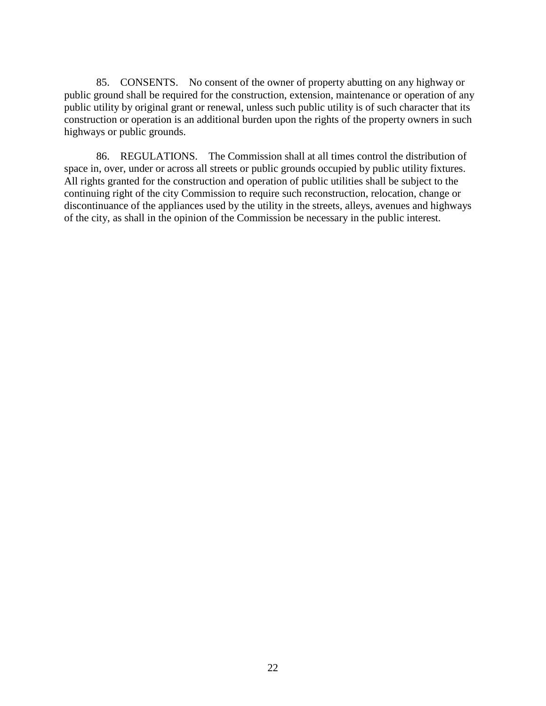85. CONSENTS. No consent of the owner of property abutting on any highway or public ground shall be required for the construction, extension, maintenance or operation of any public utility by original grant or renewal, unless such public utility is of such character that its construction or operation is an additional burden upon the rights of the property owners in such highways or public grounds.

86. REGULATIONS. The Commission shall at all times control the distribution of space in, over, under or across all streets or public grounds occupied by public utility fixtures. All rights granted for the construction and operation of public utilities shall be subject to the continuing right of the city Commission to require such reconstruction, relocation, change or discontinuance of the appliances used by the utility in the streets, alleys, avenues and highways of the city, as shall in the opinion of the Commission be necessary in the public interest.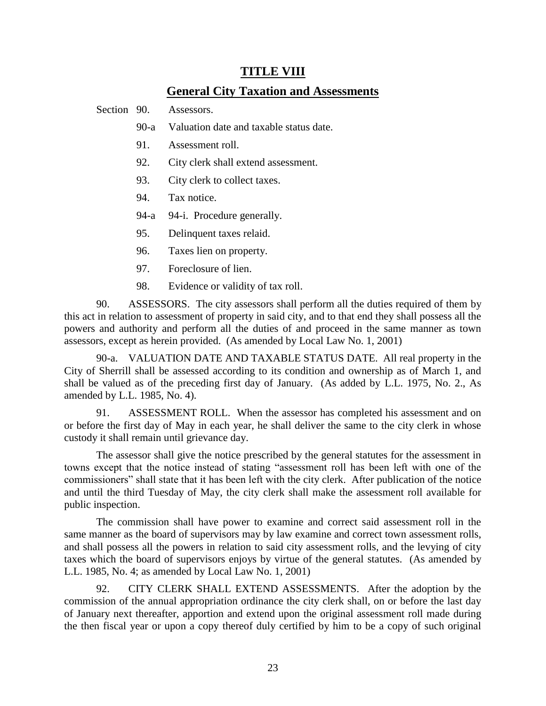### **TITLE VIII**

### **General City Taxation and Assessments**

Section 90. Assessors.

- 90-a Valuation date and taxable status date.
- 91. Assessment roll.
- 92. City clerk shall extend assessment.
- 93. City clerk to collect taxes.
- 94. Tax notice.
- 94-a 94-i. Procedure generally.
- 95. Delinquent taxes relaid.
- 96. Taxes lien on property.
- 97. Foreclosure of lien.
- 98. Evidence or validity of tax roll.

90. ASSESSORS. The city assessors shall perform all the duties required of them by this act in relation to assessment of property in said city, and to that end they shall possess all the powers and authority and perform all the duties of and proceed in the same manner as town assessors, except as herein provided. (As amended by Local Law No. 1, 2001)

90-a. VALUATION DATE AND TAXABLE STATUS DATE. All real property in the City of Sherrill shall be assessed according to its condition and ownership as of March 1, and shall be valued as of the preceding first day of January. (As added by L.L. 1975, No. 2., As amended by L.L. 1985, No. 4).

91. ASSESSMENT ROLL. When the assessor has completed his assessment and on or before the first day of May in each year, he shall deliver the same to the city clerk in whose custody it shall remain until grievance day.

The assessor shall give the notice prescribed by the general statutes for the assessment in towns except that the notice instead of stating "assessment roll has been left with one of the commissioners" shall state that it has been left with the city clerk. After publication of the notice and until the third Tuesday of May, the city clerk shall make the assessment roll available for public inspection.

The commission shall have power to examine and correct said assessment roll in the same manner as the board of supervisors may by law examine and correct town assessment rolls, and shall possess all the powers in relation to said city assessment rolls, and the levying of city taxes which the board of supervisors enjoys by virtue of the general statutes. (As amended by L.L. 1985, No. 4; as amended by Local Law No. 1, 2001)

92. CITY CLERK SHALL EXTEND ASSESSMENTS. After the adoption by the commission of the annual appropriation ordinance the city clerk shall, on or before the last day of January next thereafter, apportion and extend upon the original assessment roll made during the then fiscal year or upon a copy thereof duly certified by him to be a copy of such original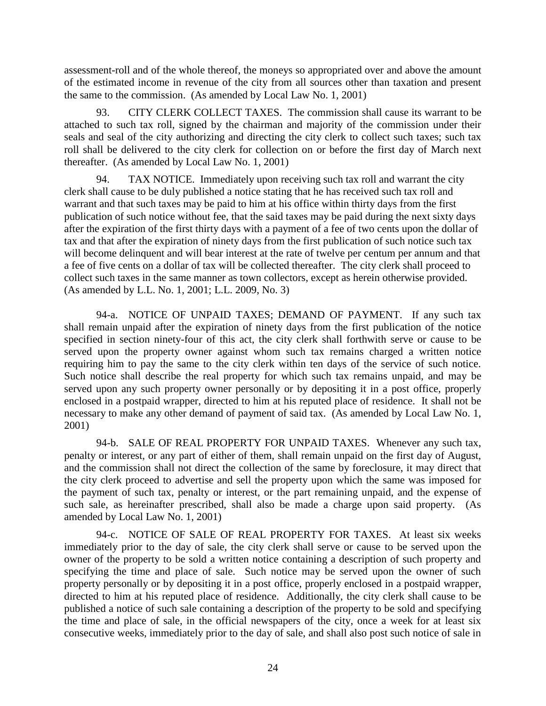assessment-roll and of the whole thereof, the moneys so appropriated over and above the amount of the estimated income in revenue of the city from all sources other than taxation and present the same to the commission. (As amended by Local Law No. 1, 2001)

93. CITY CLERK COLLECT TAXES. The commission shall cause its warrant to be attached to such tax roll, signed by the chairman and majority of the commission under their seals and seal of the city authorizing and directing the city clerk to collect such taxes; such tax roll shall be delivered to the city clerk for collection on or before the first day of March next thereafter. (As amended by Local Law No. 1, 2001)

94. TAX NOTICE. Immediately upon receiving such tax roll and warrant the city clerk shall cause to be duly published a notice stating that he has received such tax roll and warrant and that such taxes may be paid to him at his office within thirty days from the first publication of such notice without fee, that the said taxes may be paid during the next sixty days after the expiration of the first thirty days with a payment of a fee of two cents upon the dollar of tax and that after the expiration of ninety days from the first publication of such notice such tax will become delinquent and will bear interest at the rate of twelve per centum per annum and that a fee of five cents on a dollar of tax will be collected thereafter. The city clerk shall proceed to collect such taxes in the same manner as town collectors, except as herein otherwise provided. (As amended by L.L. No. 1, 2001; L.L. 2009, No. 3)

94-a. NOTICE OF UNPAID TAXES; DEMAND OF PAYMENT. If any such tax shall remain unpaid after the expiration of ninety days from the first publication of the notice specified in section ninety-four of this act, the city clerk shall forthwith serve or cause to be served upon the property owner against whom such tax remains charged a written notice requiring him to pay the same to the city clerk within ten days of the service of such notice. Such notice shall describe the real property for which such tax remains unpaid, and may be served upon any such property owner personally or by depositing it in a post office, properly enclosed in a postpaid wrapper, directed to him at his reputed place of residence. It shall not be necessary to make any other demand of payment of said tax. (As amended by Local Law No. 1, 2001)

94-b. SALE OF REAL PROPERTY FOR UNPAID TAXES. Whenever any such tax, penalty or interest, or any part of either of them, shall remain unpaid on the first day of August, and the commission shall not direct the collection of the same by foreclosure, it may direct that the city clerk proceed to advertise and sell the property upon which the same was imposed for the payment of such tax, penalty or interest, or the part remaining unpaid, and the expense of such sale, as hereinafter prescribed, shall also be made a charge upon said property. (As amended by Local Law No. 1, 2001)

94-c. NOTICE OF SALE OF REAL PROPERTY FOR TAXES. At least six weeks immediately prior to the day of sale, the city clerk shall serve or cause to be served upon the owner of the property to be sold a written notice containing a description of such property and specifying the time and place of sale. Such notice may be served upon the owner of such property personally or by depositing it in a post office, properly enclosed in a postpaid wrapper, directed to him at his reputed place of residence. Additionally, the city clerk shall cause to be published a notice of such sale containing a description of the property to be sold and specifying the time and place of sale, in the official newspapers of the city, once a week for at least six consecutive weeks, immediately prior to the day of sale, and shall also post such notice of sale in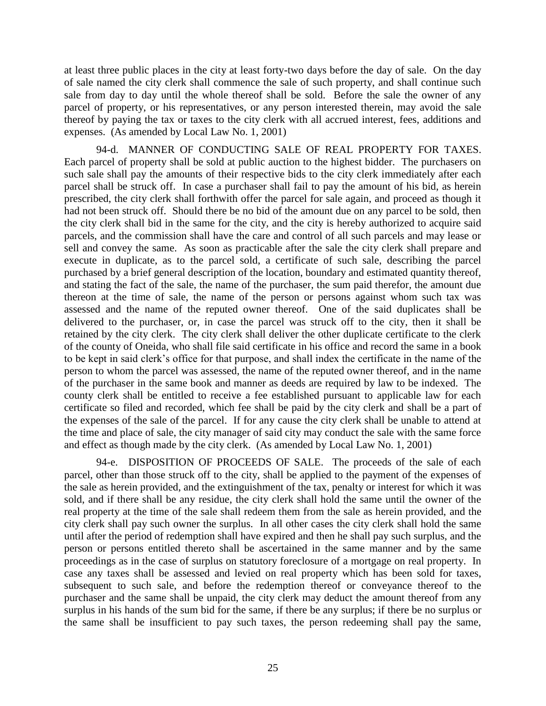at least three public places in the city at least forty-two days before the day of sale. On the day of sale named the city clerk shall commence the sale of such property, and shall continue such sale from day to day until the whole thereof shall be sold. Before the sale the owner of any parcel of property, or his representatives, or any person interested therein, may avoid the sale thereof by paying the tax or taxes to the city clerk with all accrued interest, fees, additions and expenses. (As amended by Local Law No. 1, 2001)

94-d. MANNER OF CONDUCTING SALE OF REAL PROPERTY FOR TAXES. Each parcel of property shall be sold at public auction to the highest bidder. The purchasers on such sale shall pay the amounts of their respective bids to the city clerk immediately after each parcel shall be struck off. In case a purchaser shall fail to pay the amount of his bid, as herein prescribed, the city clerk shall forthwith offer the parcel for sale again, and proceed as though it had not been struck off. Should there be no bid of the amount due on any parcel to be sold, then the city clerk shall bid in the same for the city, and the city is hereby authorized to acquire said parcels, and the commission shall have the care and control of all such parcels and may lease or sell and convey the same. As soon as practicable after the sale the city clerk shall prepare and execute in duplicate, as to the parcel sold, a certificate of such sale, describing the parcel purchased by a brief general description of the location, boundary and estimated quantity thereof, and stating the fact of the sale, the name of the purchaser, the sum paid therefor, the amount due thereon at the time of sale, the name of the person or persons against whom such tax was assessed and the name of the reputed owner thereof. One of the said duplicates shall be delivered to the purchaser, or, in case the parcel was struck off to the city, then it shall be retained by the city clerk. The city clerk shall deliver the other duplicate certificate to the clerk of the county of Oneida, who shall file said certificate in his office and record the same in a book to be kept in said clerk's office for that purpose, and shall index the certificate in the name of the person to whom the parcel was assessed, the name of the reputed owner thereof, and in the name of the purchaser in the same book and manner as deeds are required by law to be indexed. The county clerk shall be entitled to receive a fee established pursuant to applicable law for each certificate so filed and recorded, which fee shall be paid by the city clerk and shall be a part of the expenses of the sale of the parcel. If for any cause the city clerk shall be unable to attend at the time and place of sale, the city manager of said city may conduct the sale with the same force and effect as though made by the city clerk. (As amended by Local Law No. 1, 2001)

94-e. DISPOSITION OF PROCEEDS OF SALE. The proceeds of the sale of each parcel, other than those struck off to the city, shall be applied to the payment of the expenses of the sale as herein provided, and the extinguishment of the tax, penalty or interest for which it was sold, and if there shall be any residue, the city clerk shall hold the same until the owner of the real property at the time of the sale shall redeem them from the sale as herein provided, and the city clerk shall pay such owner the surplus. In all other cases the city clerk shall hold the same until after the period of redemption shall have expired and then he shall pay such surplus, and the person or persons entitled thereto shall be ascertained in the same manner and by the same proceedings as in the case of surplus on statutory foreclosure of a mortgage on real property. In case any taxes shall be assessed and levied on real property which has been sold for taxes, subsequent to such sale, and before the redemption thereof or conveyance thereof to the purchaser and the same shall be unpaid, the city clerk may deduct the amount thereof from any surplus in his hands of the sum bid for the same, if there be any surplus; if there be no surplus or the same shall be insufficient to pay such taxes, the person redeeming shall pay the same,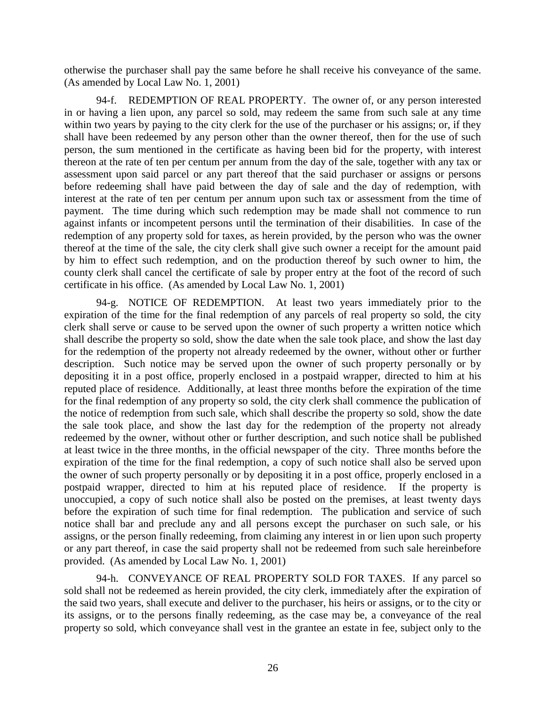otherwise the purchaser shall pay the same before he shall receive his conveyance of the same. (As amended by Local Law No. 1, 2001)

94-f. REDEMPTION OF REAL PROPERTY. The owner of, or any person interested in or having a lien upon, any parcel so sold, may redeem the same from such sale at any time within two years by paying to the city clerk for the use of the purchaser or his assigns; or, if they shall have been redeemed by any person other than the owner thereof, then for the use of such person, the sum mentioned in the certificate as having been bid for the property, with interest thereon at the rate of ten per centum per annum from the day of the sale, together with any tax or assessment upon said parcel or any part thereof that the said purchaser or assigns or persons before redeeming shall have paid between the day of sale and the day of redemption, with interest at the rate of ten per centum per annum upon such tax or assessment from the time of payment. The time during which such redemption may be made shall not commence to run against infants or incompetent persons until the termination of their disabilities. In case of the redemption of any property sold for taxes, as herein provided, by the person who was the owner thereof at the time of the sale, the city clerk shall give such owner a receipt for the amount paid by him to effect such redemption, and on the production thereof by such owner to him, the county clerk shall cancel the certificate of sale by proper entry at the foot of the record of such certificate in his office. (As amended by Local Law No. 1, 2001)

94-g. NOTICE OF REDEMPTION. At least two years immediately prior to the expiration of the time for the final redemption of any parcels of real property so sold, the city clerk shall serve or cause to be served upon the owner of such property a written notice which shall describe the property so sold, show the date when the sale took place, and show the last day for the redemption of the property not already redeemed by the owner, without other or further description. Such notice may be served upon the owner of such property personally or by depositing it in a post office, properly enclosed in a postpaid wrapper, directed to him at his reputed place of residence. Additionally, at least three months before the expiration of the time for the final redemption of any property so sold, the city clerk shall commence the publication of the notice of redemption from such sale, which shall describe the property so sold, show the date the sale took place, and show the last day for the redemption of the property not already redeemed by the owner, without other or further description, and such notice shall be published at least twice in the three months, in the official newspaper of the city. Three months before the expiration of the time for the final redemption, a copy of such notice shall also be served upon the owner of such property personally or by depositing it in a post office, properly enclosed in a postpaid wrapper, directed to him at his reputed place of residence. If the property is unoccupied, a copy of such notice shall also be posted on the premises, at least twenty days before the expiration of such time for final redemption. The publication and service of such notice shall bar and preclude any and all persons except the purchaser on such sale, or his assigns, or the person finally redeeming, from claiming any interest in or lien upon such property or any part thereof, in case the said property shall not be redeemed from such sale hereinbefore provided. (As amended by Local Law No. 1, 2001)

94-h. CONVEYANCE OF REAL PROPERTY SOLD FOR TAXES. If any parcel so sold shall not be redeemed as herein provided, the city clerk, immediately after the expiration of the said two years, shall execute and deliver to the purchaser, his heirs or assigns, or to the city or its assigns, or to the persons finally redeeming, as the case may be, a conveyance of the real property so sold, which conveyance shall vest in the grantee an estate in fee, subject only to the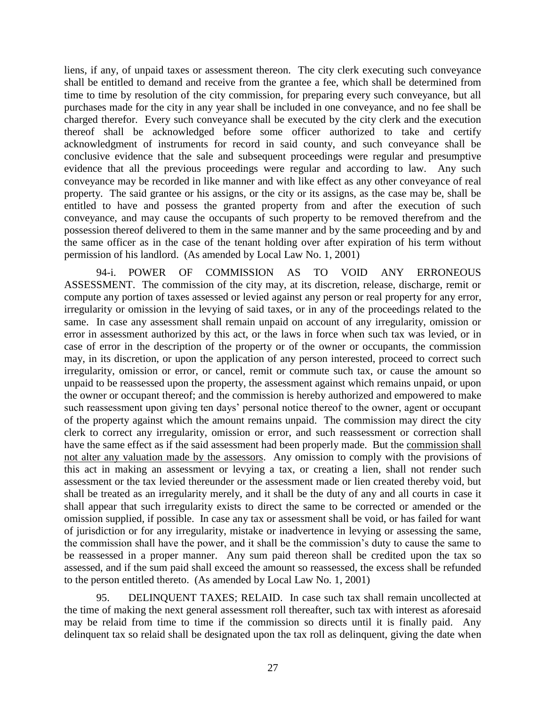liens, if any, of unpaid taxes or assessment thereon. The city clerk executing such conveyance shall be entitled to demand and receive from the grantee a fee, which shall be determined from time to time by resolution of the city commission, for preparing every such conveyance, but all purchases made for the city in any year shall be included in one conveyance, and no fee shall be charged therefor. Every such conveyance shall be executed by the city clerk and the execution thereof shall be acknowledged before some officer authorized to take and certify acknowledgment of instruments for record in said county, and such conveyance shall be conclusive evidence that the sale and subsequent proceedings were regular and presumptive evidence that all the previous proceedings were regular and according to law. Any such conveyance may be recorded in like manner and with like effect as any other conveyance of real property. The said grantee or his assigns, or the city or its assigns, as the case may be, shall be entitled to have and possess the granted property from and after the execution of such conveyance, and may cause the occupants of such property to be removed therefrom and the possession thereof delivered to them in the same manner and by the same proceeding and by and the same officer as in the case of the tenant holding over after expiration of his term without permission of his landlord. (As amended by Local Law No. 1, 2001)

94-i. POWER OF COMMISSION AS TO VOID ANY ERRONEOUS ASSESSMENT. The commission of the city may, at its discretion, release, discharge, remit or compute any portion of taxes assessed or levied against any person or real property for any error, irregularity or omission in the levying of said taxes, or in any of the proceedings related to the same. In case any assessment shall remain unpaid on account of any irregularity, omission or error in assessment authorized by this act, or the laws in force when such tax was levied, or in case of error in the description of the property or of the owner or occupants, the commission may, in its discretion, or upon the application of any person interested, proceed to correct such irregularity, omission or error, or cancel, remit or commute such tax, or cause the amount so unpaid to be reassessed upon the property, the assessment against which remains unpaid, or upon the owner or occupant thereof; and the commission is hereby authorized and empowered to make such reassessment upon giving ten days' personal notice thereof to the owner, agent or occupant of the property against which the amount remains unpaid. The commission may direct the city clerk to correct any irregularity, omission or error, and such reassessment or correction shall have the same effect as if the said assessment had been properly made. But the commission shall not alter any valuation made by the assessors. Any omission to comply with the provisions of this act in making an assessment or levying a tax, or creating a lien, shall not render such assessment or the tax levied thereunder or the assessment made or lien created thereby void, but shall be treated as an irregularity merely, and it shall be the duty of any and all courts in case it shall appear that such irregularity exists to direct the same to be corrected or amended or the omission supplied, if possible. In case any tax or assessment shall be void, or has failed for want of jurisdiction or for any irregularity, mistake or inadvertence in levying or assessing the same, the commission shall have the power, and it shall be the commission's duty to cause the same to be reassessed in a proper manner. Any sum paid thereon shall be credited upon the tax so assessed, and if the sum paid shall exceed the amount so reassessed, the excess shall be refunded to the person entitled thereto. (As amended by Local Law No. 1, 2001)

95. DELINQUENT TAXES; RELAID. In case such tax shall remain uncollected at the time of making the next general assessment roll thereafter, such tax with interest as aforesaid may be relaid from time to time if the commission so directs until it is finally paid. Any delinquent tax so relaid shall be designated upon the tax roll as delinquent, giving the date when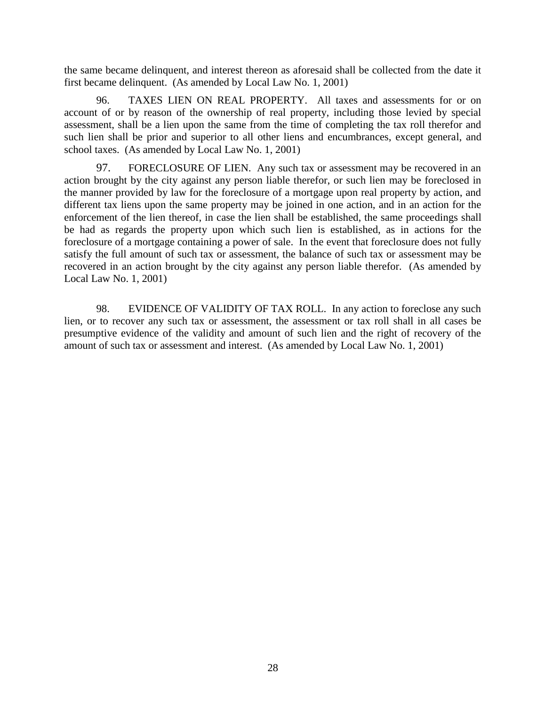the same became delinquent, and interest thereon as aforesaid shall be collected from the date it first became delinquent. (As amended by Local Law No. 1, 2001)

96. TAXES LIEN ON REAL PROPERTY. All taxes and assessments for or on account of or by reason of the ownership of real property, including those levied by special assessment, shall be a lien upon the same from the time of completing the tax roll therefor and such lien shall be prior and superior to all other liens and encumbrances, except general, and school taxes. (As amended by Local Law No. 1, 2001)

97. FORECLOSURE OF LIEN. Any such tax or assessment may be recovered in an action brought by the city against any person liable therefor, or such lien may be foreclosed in the manner provided by law for the foreclosure of a mortgage upon real property by action, and different tax liens upon the same property may be joined in one action, and in an action for the enforcement of the lien thereof, in case the lien shall be established, the same proceedings shall be had as regards the property upon which such lien is established, as in actions for the foreclosure of a mortgage containing a power of sale. In the event that foreclosure does not fully satisfy the full amount of such tax or assessment, the balance of such tax or assessment may be recovered in an action brought by the city against any person liable therefor. (As amended by Local Law No. 1, 2001)

98. EVIDENCE OF VALIDITY OF TAX ROLL. In any action to foreclose any such lien, or to recover any such tax or assessment, the assessment or tax roll shall in all cases be presumptive evidence of the validity and amount of such lien and the right of recovery of the amount of such tax or assessment and interest. (As amended by Local Law No. 1, 2001)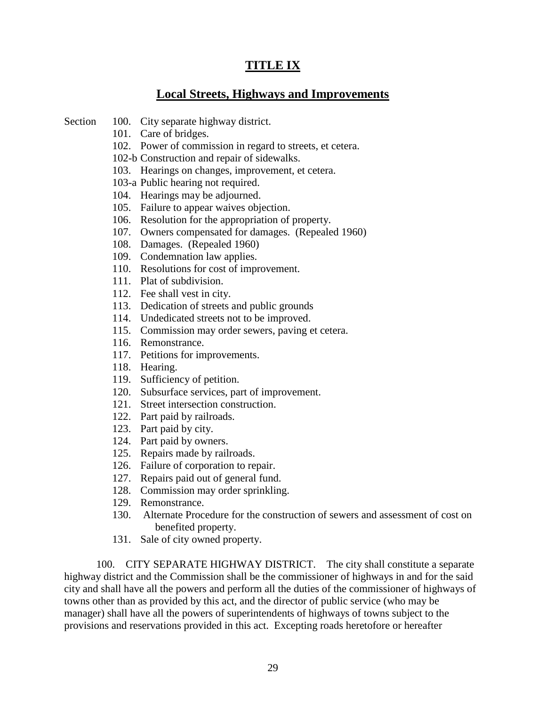# **TITLE IX**

# **Local Streets, Highways and Improvements**

- Section 100. City separate highway district.
	- 101. Care of bridges.
	- 102. Power of commission in regard to streets, et cetera.
	- 102-b Construction and repair of sidewalks.
	- 103. Hearings on changes, improvement, et cetera.
	- 103-a Public hearing not required.
	- 104. Hearings may be adjourned.
	- 105. Failure to appear waives objection.
	- 106. Resolution for the appropriation of property.
	- 107. Owners compensated for damages. (Repealed 1960)
	- 108. Damages. (Repealed 1960)
	- 109. Condemnation law applies.
	- 110. Resolutions for cost of improvement.
	- 111. Plat of subdivision.
	- 112. Fee shall vest in city.
	- 113. Dedication of streets and public grounds
	- 114. Undedicated streets not to be improved.
	- 115. Commission may order sewers, paving et cetera.
	- 116. Remonstrance.
	- 117. Petitions for improvements.
	- 118. Hearing.
	- 119. Sufficiency of petition.
	- 120. Subsurface services, part of improvement.
	- 121. Street intersection construction.
	- 122. Part paid by railroads.
	- 123. Part paid by city.
	- 124. Part paid by owners.
	- 125. Repairs made by railroads.
	- 126. Failure of corporation to repair.
	- 127. Repairs paid out of general fund.
	- 128. Commission may order sprinkling.
	- 129. Remonstrance.
	- 130. Alternate Procedure for the construction of sewers and assessment of cost on benefited property.
	- 131. Sale of city owned property.

100. CITY SEPARATE HIGHWAY DISTRICT. The city shall constitute a separate highway district and the Commission shall be the commissioner of highways in and for the said city and shall have all the powers and perform all the duties of the commissioner of highways of towns other than as provided by this act, and the director of public service (who may be manager) shall have all the powers of superintendents of highways of towns subject to the provisions and reservations provided in this act. Excepting roads heretofore or hereafter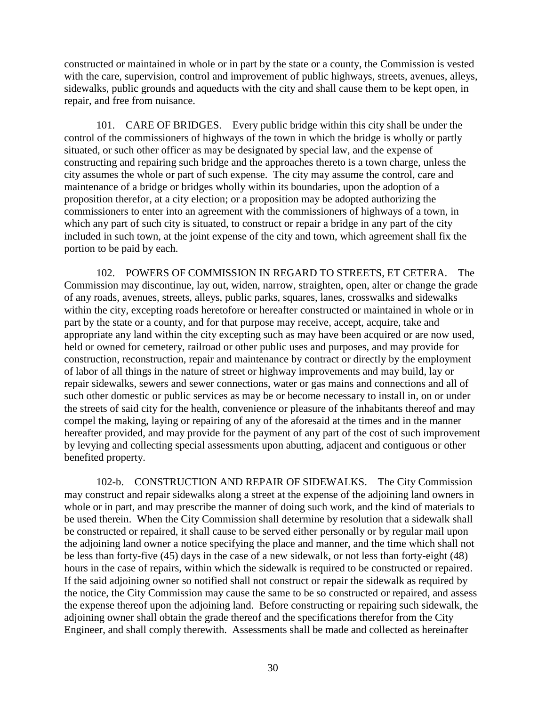constructed or maintained in whole or in part by the state or a county, the Commission is vested with the care, supervision, control and improvement of public highways, streets, avenues, alleys, sidewalks, public grounds and aqueducts with the city and shall cause them to be kept open, in repair, and free from nuisance.

101. CARE OF BRIDGES. Every public bridge within this city shall be under the control of the commissioners of highways of the town in which the bridge is wholly or partly situated, or such other officer as may be designated by special law, and the expense of constructing and repairing such bridge and the approaches thereto is a town charge, unless the city assumes the whole or part of such expense. The city may assume the control, care and maintenance of a bridge or bridges wholly within its boundaries, upon the adoption of a proposition therefor, at a city election; or a proposition may be adopted authorizing the commissioners to enter into an agreement with the commissioners of highways of a town, in which any part of such city is situated, to construct or repair a bridge in any part of the city included in such town, at the joint expense of the city and town, which agreement shall fix the portion to be paid by each.

102. POWERS OF COMMISSION IN REGARD TO STREETS, ET CETERA. The Commission may discontinue, lay out, widen, narrow, straighten, open, alter or change the grade of any roads, avenues, streets, alleys, public parks, squares, lanes, crosswalks and sidewalks within the city, excepting roads heretofore or hereafter constructed or maintained in whole or in part by the state or a county, and for that purpose may receive, accept, acquire, take and appropriate any land within the city excepting such as may have been acquired or are now used, held or owned for cemetery, railroad or other public uses and purposes, and may provide for construction, reconstruction, repair and maintenance by contract or directly by the employment of labor of all things in the nature of street or highway improvements and may build, lay or repair sidewalks, sewers and sewer connections, water or gas mains and connections and all of such other domestic or public services as may be or become necessary to install in, on or under the streets of said city for the health, convenience or pleasure of the inhabitants thereof and may compel the making, laying or repairing of any of the aforesaid at the times and in the manner hereafter provided, and may provide for the payment of any part of the cost of such improvement by levying and collecting special assessments upon abutting, adjacent and contiguous or other benefited property.

102-b. CONSTRUCTION AND REPAIR OF SIDEWALKS. The City Commission may construct and repair sidewalks along a street at the expense of the adjoining land owners in whole or in part, and may prescribe the manner of doing such work, and the kind of materials to be used therein. When the City Commission shall determine by resolution that a sidewalk shall be constructed or repaired, it shall cause to be served either personally or by regular mail upon the adjoining land owner a notice specifying the place and manner, and the time which shall not be less than forty-five (45) days in the case of a new sidewalk, or not less than forty-eight (48) hours in the case of repairs, within which the sidewalk is required to be constructed or repaired. If the said adjoining owner so notified shall not construct or repair the sidewalk as required by the notice, the City Commission may cause the same to be so constructed or repaired, and assess the expense thereof upon the adjoining land. Before constructing or repairing such sidewalk, the adjoining owner shall obtain the grade thereof and the specifications therefor from the City Engineer, and shall comply therewith. Assessments shall be made and collected as hereinafter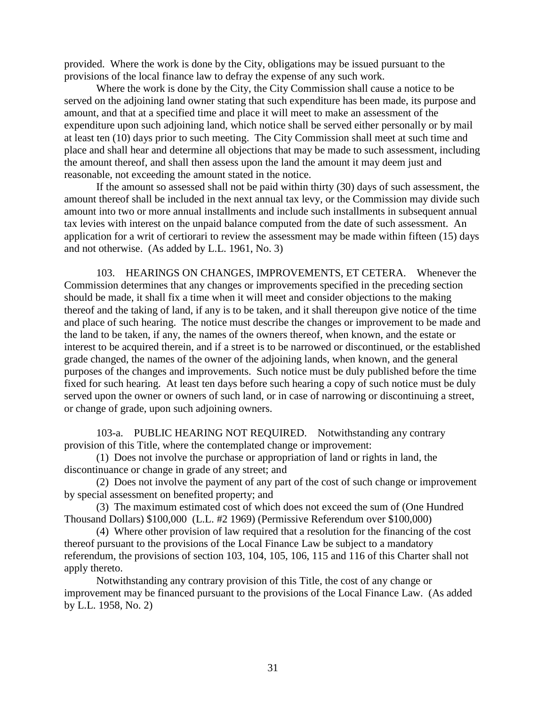provided. Where the work is done by the City, obligations may be issued pursuant to the provisions of the local finance law to defray the expense of any such work.

Where the work is done by the City, the City Commission shall cause a notice to be served on the adjoining land owner stating that such expenditure has been made, its purpose and amount, and that at a specified time and place it will meet to make an assessment of the expenditure upon such adjoining land, which notice shall be served either personally or by mail at least ten (10) days prior to such meeting. The City Commission shall meet at such time and place and shall hear and determine all objections that may be made to such assessment, including the amount thereof, and shall then assess upon the land the amount it may deem just and reasonable, not exceeding the amount stated in the notice.

If the amount so assessed shall not be paid within thirty (30) days of such assessment, the amount thereof shall be included in the next annual tax levy, or the Commission may divide such amount into two or more annual installments and include such installments in subsequent annual tax levies with interest on the unpaid balance computed from the date of such assessment. An application for a writ of certiorari to review the assessment may be made within fifteen (15) days and not otherwise. (As added by L.L. 1961, No. 3)

103. HEARINGS ON CHANGES, IMPROVEMENTS, ET CETERA. Whenever the Commission determines that any changes or improvements specified in the preceding section should be made, it shall fix a time when it will meet and consider objections to the making thereof and the taking of land, if any is to be taken, and it shall thereupon give notice of the time and place of such hearing. The notice must describe the changes or improvement to be made and the land to be taken, if any, the names of the owners thereof, when known, and the estate or interest to be acquired therein, and if a street is to be narrowed or discontinued, or the established grade changed, the names of the owner of the adjoining lands, when known, and the general purposes of the changes and improvements. Such notice must be duly published before the time fixed for such hearing. At least ten days before such hearing a copy of such notice must be duly served upon the owner or owners of such land, or in case of narrowing or discontinuing a street, or change of grade, upon such adjoining owners.

103-a. PUBLIC HEARING NOT REQUIRED. Notwithstanding any contrary provision of this Title, where the contemplated change or improvement:

(1) Does not involve the purchase or appropriation of land or rights in land, the discontinuance or change in grade of any street; and

(2) Does not involve the payment of any part of the cost of such change or improvement by special assessment on benefited property; and

(3) The maximum estimated cost of which does not exceed the sum of (One Hundred Thousand Dollars) \$100,000 (L.L. #2 1969) (Permissive Referendum over \$100,000)

(4) Where other provision of law required that a resolution for the financing of the cost thereof pursuant to the provisions of the Local Finance Law be subject to a mandatory referendum, the provisions of section 103, 104, 105, 106, 115 and 116 of this Charter shall not apply thereto.

Notwithstanding any contrary provision of this Title, the cost of any change or improvement may be financed pursuant to the provisions of the Local Finance Law. (As added by L.L. 1958, No. 2)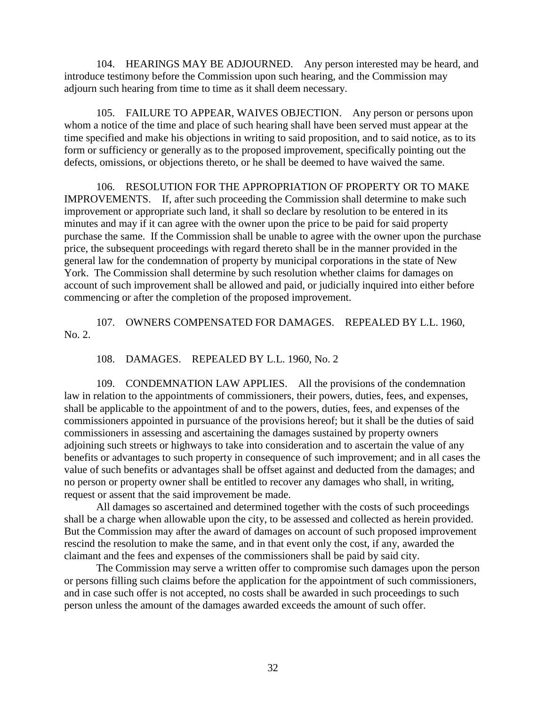104. HEARINGS MAY BE ADJOURNED. Any person interested may be heard, and introduce testimony before the Commission upon such hearing, and the Commission may adjourn such hearing from time to time as it shall deem necessary.

105. FAILURE TO APPEAR, WAIVES OBJECTION. Any person or persons upon whom a notice of the time and place of such hearing shall have been served must appear at the time specified and make his objections in writing to said proposition, and to said notice, as to its form or sufficiency or generally as to the proposed improvement, specifically pointing out the defects, omissions, or objections thereto, or he shall be deemed to have waived the same.

106. RESOLUTION FOR THE APPROPRIATION OF PROPERTY OR TO MAKE IMPROVEMENTS. If, after such proceeding the Commission shall determine to make such improvement or appropriate such land, it shall so declare by resolution to be entered in its minutes and may if it can agree with the owner upon the price to be paid for said property purchase the same. If the Commission shall be unable to agree with the owner upon the purchase price, the subsequent proceedings with regard thereto shall be in the manner provided in the general law for the condemnation of property by municipal corporations in the state of New York. The Commission shall determine by such resolution whether claims for damages on account of such improvement shall be allowed and paid, or judicially inquired into either before commencing or after the completion of the proposed improvement.

107. OWNERS COMPENSATED FOR DAMAGES. REPEALED BY L.L. 1960, No. 2.

108. DAMAGES. REPEALED BY L.L. 1960, No. 2

109. CONDEMNATION LAW APPLIES. All the provisions of the condemnation law in relation to the appointments of commissioners, their powers, duties, fees, and expenses, shall be applicable to the appointment of and to the powers, duties, fees, and expenses of the commissioners appointed in pursuance of the provisions hereof; but it shall be the duties of said commissioners in assessing and ascertaining the damages sustained by property owners adjoining such streets or highways to take into consideration and to ascertain the value of any benefits or advantages to such property in consequence of such improvement; and in all cases the value of such benefits or advantages shall be offset against and deducted from the damages; and no person or property owner shall be entitled to recover any damages who shall, in writing, request or assent that the said improvement be made.

All damages so ascertained and determined together with the costs of such proceedings shall be a charge when allowable upon the city, to be assessed and collected as herein provided. But the Commission may after the award of damages on account of such proposed improvement rescind the resolution to make the same, and in that event only the cost, if any, awarded the claimant and the fees and expenses of the commissioners shall be paid by said city.

The Commission may serve a written offer to compromise such damages upon the person or persons filling such claims before the application for the appointment of such commissioners, and in case such offer is not accepted, no costs shall be awarded in such proceedings to such person unless the amount of the damages awarded exceeds the amount of such offer.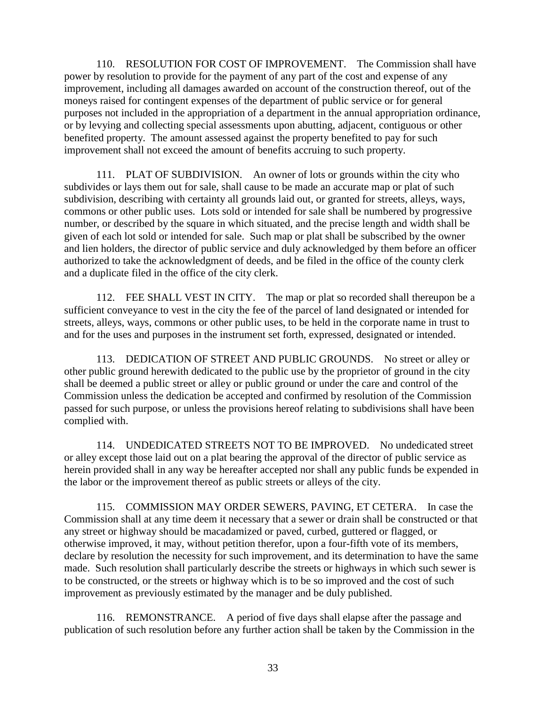110. RESOLUTION FOR COST OF IMPROVEMENT. The Commission shall have power by resolution to provide for the payment of any part of the cost and expense of any improvement, including all damages awarded on account of the construction thereof, out of the moneys raised for contingent expenses of the department of public service or for general purposes not included in the appropriation of a department in the annual appropriation ordinance, or by levying and collecting special assessments upon abutting, adjacent, contiguous or other benefited property. The amount assessed against the property benefited to pay for such improvement shall not exceed the amount of benefits accruing to such property.

111. PLAT OF SUBDIVISION. An owner of lots or grounds within the city who subdivides or lays them out for sale, shall cause to be made an accurate map or plat of such subdivision, describing with certainty all grounds laid out, or granted for streets, alleys, ways, commons or other public uses. Lots sold or intended for sale shall be numbered by progressive number, or described by the square in which situated, and the precise length and width shall be given of each lot sold or intended for sale. Such map or plat shall be subscribed by the owner and lien holders, the director of public service and duly acknowledged by them before an officer authorized to take the acknowledgment of deeds, and be filed in the office of the county clerk and a duplicate filed in the office of the city clerk.

112. FEE SHALL VEST IN CITY. The map or plat so recorded shall thereupon be a sufficient conveyance to vest in the city the fee of the parcel of land designated or intended for streets, alleys, ways, commons or other public uses, to be held in the corporate name in trust to and for the uses and purposes in the instrument set forth, expressed, designated or intended.

113. DEDICATION OF STREET AND PUBLIC GROUNDS. No street or alley or other public ground herewith dedicated to the public use by the proprietor of ground in the city shall be deemed a public street or alley or public ground or under the care and control of the Commission unless the dedication be accepted and confirmed by resolution of the Commission passed for such purpose, or unless the provisions hereof relating to subdivisions shall have been complied with.

114. UNDEDICATED STREETS NOT TO BE IMPROVED. No undedicated street or alley except those laid out on a plat bearing the approval of the director of public service as herein provided shall in any way be hereafter accepted nor shall any public funds be expended in the labor or the improvement thereof as public streets or alleys of the city.

115. COMMISSION MAY ORDER SEWERS, PAVING, ET CETERA. In case the Commission shall at any time deem it necessary that a sewer or drain shall be constructed or that any street or highway should be macadamized or paved, curbed, guttered or flagged, or otherwise improved, it may, without petition therefor, upon a four-fifth vote of its members, declare by resolution the necessity for such improvement, and its determination to have the same made. Such resolution shall particularly describe the streets or highways in which such sewer is to be constructed, or the streets or highway which is to be so improved and the cost of such improvement as previously estimated by the manager and be duly published.

116. REMONSTRANCE. A period of five days shall elapse after the passage and publication of such resolution before any further action shall be taken by the Commission in the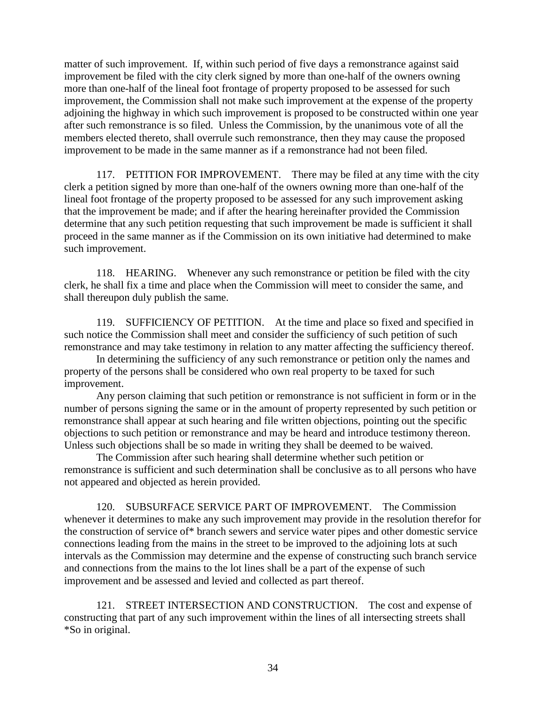matter of such improvement. If, within such period of five days a remonstrance against said improvement be filed with the city clerk signed by more than one-half of the owners owning more than one-half of the lineal foot frontage of property proposed to be assessed for such improvement, the Commission shall not make such improvement at the expense of the property adjoining the highway in which such improvement is proposed to be constructed within one year after such remonstrance is so filed. Unless the Commission, by the unanimous vote of all the members elected thereto, shall overrule such remonstrance, then they may cause the proposed improvement to be made in the same manner as if a remonstrance had not been filed.

117. PETITION FOR IMPROVEMENT. There may be filed at any time with the city clerk a petition signed by more than one-half of the owners owning more than one-half of the lineal foot frontage of the property proposed to be assessed for any such improvement asking that the improvement be made; and if after the hearing hereinafter provided the Commission determine that any such petition requesting that such improvement be made is sufficient it shall proceed in the same manner as if the Commission on its own initiative had determined to make such improvement.

118. HEARING. Whenever any such remonstrance or petition be filed with the city clerk, he shall fix a time and place when the Commission will meet to consider the same, and shall thereupon duly publish the same.

119. SUFFICIENCY OF PETITION. At the time and place so fixed and specified in such notice the Commission shall meet and consider the sufficiency of such petition of such remonstrance and may take testimony in relation to any matter affecting the sufficiency thereof.

In determining the sufficiency of any such remonstrance or petition only the names and property of the persons shall be considered who own real property to be taxed for such improvement.

Any person claiming that such petition or remonstrance is not sufficient in form or in the number of persons signing the same or in the amount of property represented by such petition or remonstrance shall appear at such hearing and file written objections, pointing out the specific objections to such petition or remonstrance and may be heard and introduce testimony thereon. Unless such objections shall be so made in writing they shall be deemed to be waived.

The Commission after such hearing shall determine whether such petition or remonstrance is sufficient and such determination shall be conclusive as to all persons who have not appeared and objected as herein provided.

120. SUBSURFACE SERVICE PART OF IMPROVEMENT. The Commission whenever it determines to make any such improvement may provide in the resolution therefor for the construction of service of\* branch sewers and service water pipes and other domestic service connections leading from the mains in the street to be improved to the adjoining lots at such intervals as the Commission may determine and the expense of constructing such branch service and connections from the mains to the lot lines shall be a part of the expense of such improvement and be assessed and levied and collected as part thereof.

121. STREET INTERSECTION AND CONSTRUCTION. The cost and expense of constructing that part of any such improvement within the lines of all intersecting streets shall \*So in original.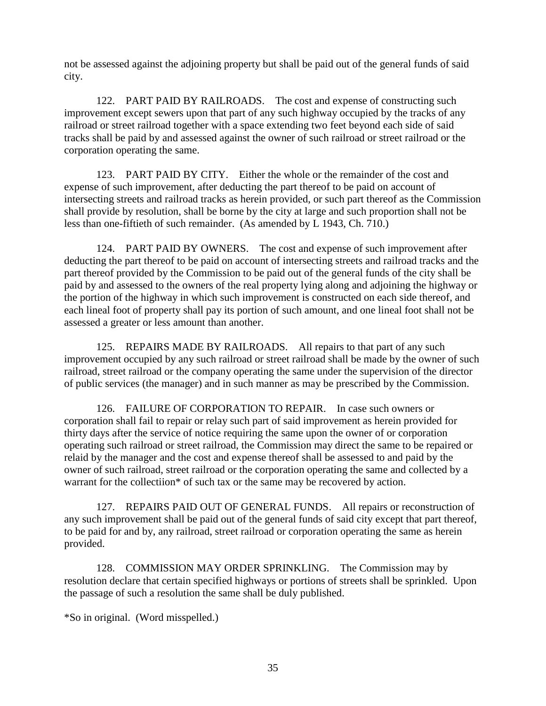not be assessed against the adjoining property but shall be paid out of the general funds of said city.

122. PART PAID BY RAILROADS. The cost and expense of constructing such improvement except sewers upon that part of any such highway occupied by the tracks of any railroad or street railroad together with a space extending two feet beyond each side of said tracks shall be paid by and assessed against the owner of such railroad or street railroad or the corporation operating the same.

123. PART PAID BY CITY. Either the whole or the remainder of the cost and expense of such improvement, after deducting the part thereof to be paid on account of intersecting streets and railroad tracks as herein provided, or such part thereof as the Commission shall provide by resolution, shall be borne by the city at large and such proportion shall not be less than one-fiftieth of such remainder. (As amended by L 1943, Ch. 710.)

124. PART PAID BY OWNERS. The cost and expense of such improvement after deducting the part thereof to be paid on account of intersecting streets and railroad tracks and the part thereof provided by the Commission to be paid out of the general funds of the city shall be paid by and assessed to the owners of the real property lying along and adjoining the highway or the portion of the highway in which such improvement is constructed on each side thereof, and each lineal foot of property shall pay its portion of such amount, and one lineal foot shall not be assessed a greater or less amount than another.

125. REPAIRS MADE BY RAILROADS. All repairs to that part of any such improvement occupied by any such railroad or street railroad shall be made by the owner of such railroad, street railroad or the company operating the same under the supervision of the director of public services (the manager) and in such manner as may be prescribed by the Commission.

126. FAILURE OF CORPORATION TO REPAIR. In case such owners or corporation shall fail to repair or relay such part of said improvement as herein provided for thirty days after the service of notice requiring the same upon the owner of or corporation operating such railroad or street railroad, the Commission may direct the same to be repaired or relaid by the manager and the cost and expense thereof shall be assessed to and paid by the owner of such railroad, street railroad or the corporation operating the same and collected by a warrant for the collectiion\* of such tax or the same may be recovered by action.

127. REPAIRS PAID OUT OF GENERAL FUNDS. All repairs or reconstruction of any such improvement shall be paid out of the general funds of said city except that part thereof, to be paid for and by, any railroad, street railroad or corporation operating the same as herein provided.

128. COMMISSION MAY ORDER SPRINKLING. The Commission may by resolution declare that certain specified highways or portions of streets shall be sprinkled. Upon the passage of such a resolution the same shall be duly published.

\*So in original. (Word misspelled.)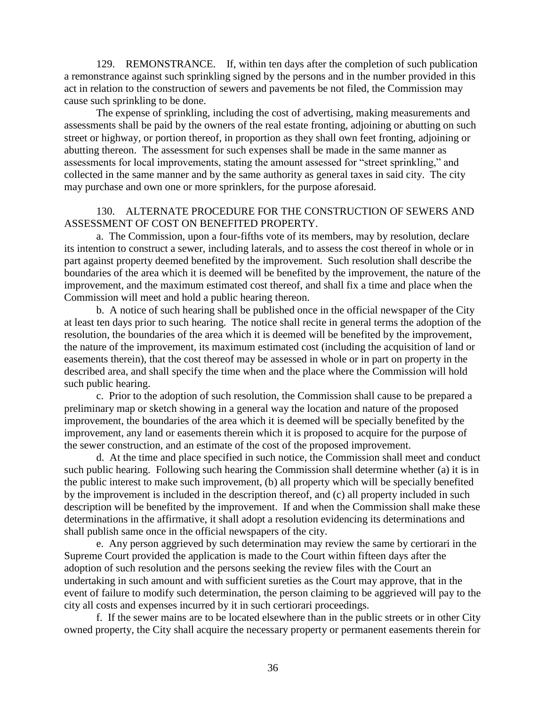129. REMONSTRANCE. If, within ten days after the completion of such publication a remonstrance against such sprinkling signed by the persons and in the number provided in this act in relation to the construction of sewers and pavements be not filed, the Commission may cause such sprinkling to be done.

The expense of sprinkling, including the cost of advertising, making measurements and assessments shall be paid by the owners of the real estate fronting, adjoining or abutting on such street or highway, or portion thereof, in proportion as they shall own feet fronting, adjoining or abutting thereon. The assessment for such expenses shall be made in the same manner as assessments for local improvements, stating the amount assessed for "street sprinkling," and collected in the same manner and by the same authority as general taxes in said city. The city may purchase and own one or more sprinklers, for the purpose aforesaid.

### 130. ALTERNATE PROCEDURE FOR THE CONSTRUCTION OF SEWERS AND ASSESSMENT OF COST ON BENEFITED PROPERTY.

a. The Commission, upon a four-fifths vote of its members, may by resolution, declare its intention to construct a sewer, including laterals, and to assess the cost thereof in whole or in part against property deemed benefited by the improvement. Such resolution shall describe the boundaries of the area which it is deemed will be benefited by the improvement, the nature of the improvement, and the maximum estimated cost thereof, and shall fix a time and place when the Commission will meet and hold a public hearing thereon.

b. A notice of such hearing shall be published once in the official newspaper of the City at least ten days prior to such hearing. The notice shall recite in general terms the adoption of the resolution, the boundaries of the area which it is deemed will be benefited by the improvement, the nature of the improvement, its maximum estimated cost (including the acquisition of land or easements therein), that the cost thereof may be assessed in whole or in part on property in the described area, and shall specify the time when and the place where the Commission will hold such public hearing.

c. Prior to the adoption of such resolution, the Commission shall cause to be prepared a preliminary map or sketch showing in a general way the location and nature of the proposed improvement, the boundaries of the area which it is deemed will be specially benefited by the improvement, any land or easements therein which it is proposed to acquire for the purpose of the sewer construction, and an estimate of the cost of the proposed improvement.

d. At the time and place specified in such notice, the Commission shall meet and conduct such public hearing. Following such hearing the Commission shall determine whether (a) it is in the public interest to make such improvement, (b) all property which will be specially benefited by the improvement is included in the description thereof, and (c) all property included in such description will be benefited by the improvement. If and when the Commission shall make these determinations in the affirmative, it shall adopt a resolution evidencing its determinations and shall publish same once in the official newspapers of the city.

e. Any person aggrieved by such determination may review the same by certiorari in the Supreme Court provided the application is made to the Court within fifteen days after the adoption of such resolution and the persons seeking the review files with the Court an undertaking in such amount and with sufficient sureties as the Court may approve, that in the event of failure to modify such determination, the person claiming to be aggrieved will pay to the city all costs and expenses incurred by it in such certiorari proceedings.

f. If the sewer mains are to be located elsewhere than in the public streets or in other City owned property, the City shall acquire the necessary property or permanent easements therein for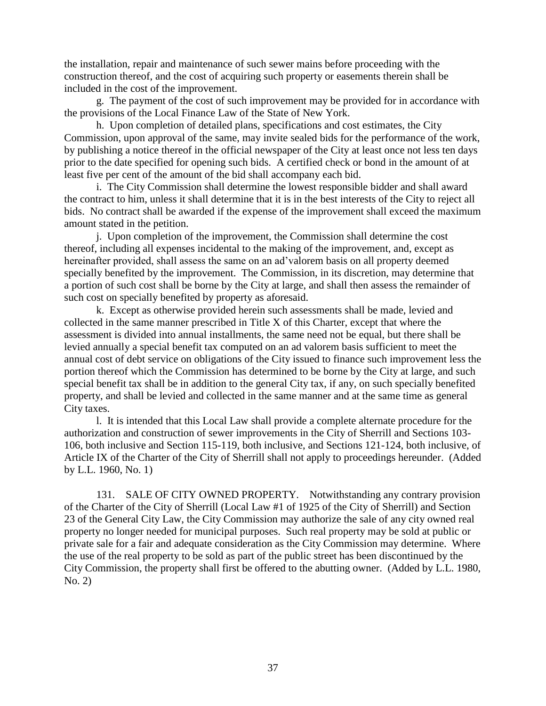the installation, repair and maintenance of such sewer mains before proceeding with the construction thereof, and the cost of acquiring such property or easements therein shall be included in the cost of the improvement.

g. The payment of the cost of such improvement may be provided for in accordance with the provisions of the Local Finance Law of the State of New York.

h. Upon completion of detailed plans, specifications and cost estimates, the City Commission, upon approval of the same, may invite sealed bids for the performance of the work, by publishing a notice thereof in the official newspaper of the City at least once not less ten days prior to the date specified for opening such bids. A certified check or bond in the amount of at least five per cent of the amount of the bid shall accompany each bid.

i. The City Commission shall determine the lowest responsible bidder and shall award the contract to him, unless it shall determine that it is in the best interests of the City to reject all bids. No contract shall be awarded if the expense of the improvement shall exceed the maximum amount stated in the petition.

j. Upon completion of the improvement, the Commission shall determine the cost thereof, including all expenses incidental to the making of the improvement, and, except as hereinafter provided, shall assess the same on an ad'valorem basis on all property deemed specially benefited by the improvement. The Commission, in its discretion, may determine that a portion of such cost shall be borne by the City at large, and shall then assess the remainder of such cost on specially benefited by property as aforesaid.

k. Except as otherwise provided herein such assessments shall be made, levied and collected in the same manner prescribed in Title X of this Charter, except that where the assessment is divided into annual installments, the same need not be equal, but there shall be levied annually a special benefit tax computed on an ad valorem basis sufficient to meet the annual cost of debt service on obligations of the City issued to finance such improvement less the portion thereof which the Commission has determined to be borne by the City at large, and such special benefit tax shall be in addition to the general City tax, if any, on such specially benefited property, and shall be levied and collected in the same manner and at the same time as general City taxes.

l. It is intended that this Local Law shall provide a complete alternate procedure for the authorization and construction of sewer improvements in the City of Sherrill and Sections 103- 106, both inclusive and Section 115-119, both inclusive, and Sections 121-124, both inclusive, of Article IX of the Charter of the City of Sherrill shall not apply to proceedings hereunder. (Added by L.L. 1960, No. 1)

131. SALE OF CITY OWNED PROPERTY. Notwithstanding any contrary provision of the Charter of the City of Sherrill (Local Law #1 of 1925 of the City of Sherrill) and Section 23 of the General City Law, the City Commission may authorize the sale of any city owned real property no longer needed for municipal purposes. Such real property may be sold at public or private sale for a fair and adequate consideration as the City Commission may determine. Where the use of the real property to be sold as part of the public street has been discontinued by the City Commission, the property shall first be offered to the abutting owner. (Added by L.L. 1980, No. 2)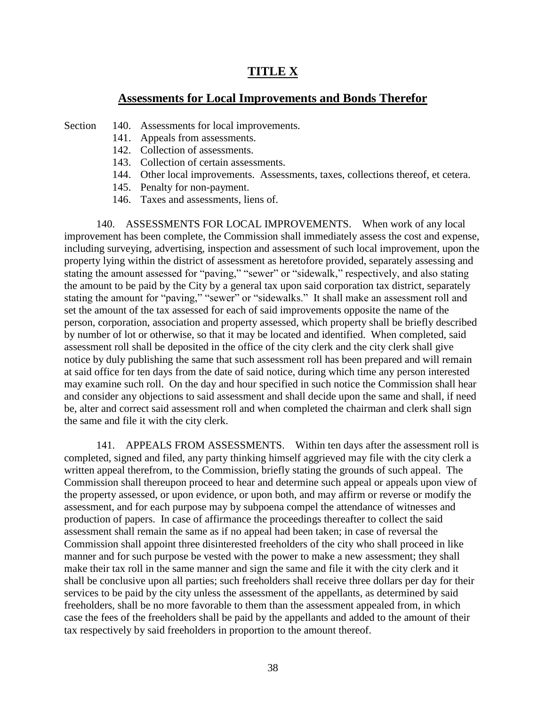# **TITLE X**

### **Assessments for Local Improvements and Bonds Therefor**

- Section 140. Assessments for local improvements.
	- 141. Appeals from assessments.
	- 142. Collection of assessments.
	- 143. Collection of certain assessments.
	- 144. Other local improvements. Assessments, taxes, collections thereof, et cetera.
	- 145. Penalty for non-payment.
	- 146. Taxes and assessments, liens of.

140. ASSESSMENTS FOR LOCAL IMPROVEMENTS. When work of any local improvement has been complete, the Commission shall immediately assess the cost and expense, including surveying, advertising, inspection and assessment of such local improvement, upon the property lying within the district of assessment as heretofore provided, separately assessing and stating the amount assessed for "paving," "sewer" or "sidewalk," respectively, and also stating the amount to be paid by the City by a general tax upon said corporation tax district, separately stating the amount for "paving," "sewer" or "sidewalks." It shall make an assessment roll and set the amount of the tax assessed for each of said improvements opposite the name of the person, corporation, association and property assessed, which property shall be briefly described by number of lot or otherwise, so that it may be located and identified. When completed, said assessment roll shall be deposited in the office of the city clerk and the city clerk shall give notice by duly publishing the same that such assessment roll has been prepared and will remain at said office for ten days from the date of said notice, during which time any person interested may examine such roll. On the day and hour specified in such notice the Commission shall hear and consider any objections to said assessment and shall decide upon the same and shall, if need be, alter and correct said assessment roll and when completed the chairman and clerk shall sign the same and file it with the city clerk.

141. APPEALS FROM ASSESSMENTS. Within ten days after the assessment roll is completed, signed and filed, any party thinking himself aggrieved may file with the city clerk a written appeal therefrom, to the Commission, briefly stating the grounds of such appeal. The Commission shall thereupon proceed to hear and determine such appeal or appeals upon view of the property assessed, or upon evidence, or upon both, and may affirm or reverse or modify the assessment, and for each purpose may by subpoena compel the attendance of witnesses and production of papers. In case of affirmance the proceedings thereafter to collect the said assessment shall remain the same as if no appeal had been taken; in case of reversal the Commission shall appoint three disinterested freeholders of the city who shall proceed in like manner and for such purpose be vested with the power to make a new assessment; they shall make their tax roll in the same manner and sign the same and file it with the city clerk and it shall be conclusive upon all parties; such freeholders shall receive three dollars per day for their services to be paid by the city unless the assessment of the appellants, as determined by said freeholders, shall be no more favorable to them than the assessment appealed from, in which case the fees of the freeholders shall be paid by the appellants and added to the amount of their tax respectively by said freeholders in proportion to the amount thereof.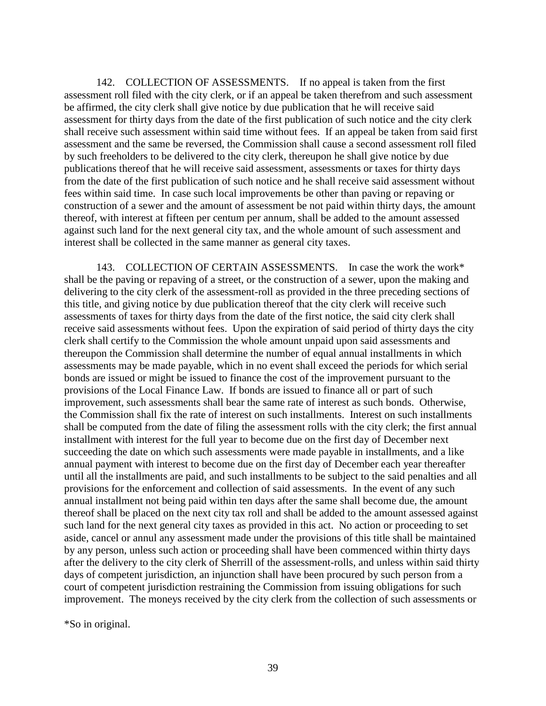142. COLLECTION OF ASSESSMENTS. If no appeal is taken from the first assessment roll filed with the city clerk, or if an appeal be taken therefrom and such assessment be affirmed, the city clerk shall give notice by due publication that he will receive said assessment for thirty days from the date of the first publication of such notice and the city clerk shall receive such assessment within said time without fees. If an appeal be taken from said first assessment and the same be reversed, the Commission shall cause a second assessment roll filed by such freeholders to be delivered to the city clerk, thereupon he shall give notice by due publications thereof that he will receive said assessment, assessments or taxes for thirty days from the date of the first publication of such notice and he shall receive said assessment without fees within said time. In case such local improvements be other than paving or repaving or construction of a sewer and the amount of assessment be not paid within thirty days, the amount thereof, with interest at fifteen per centum per annum, shall be added to the amount assessed against such land for the next general city tax, and the whole amount of such assessment and interest shall be collected in the same manner as general city taxes.

143. COLLECTION OF CERTAIN ASSESSMENTS. In case the work the work\* shall be the paving or repaving of a street, or the construction of a sewer, upon the making and delivering to the city clerk of the assessment-roll as provided in the three preceding sections of this title, and giving notice by due publication thereof that the city clerk will receive such assessments of taxes for thirty days from the date of the first notice, the said city clerk shall receive said assessments without fees. Upon the expiration of said period of thirty days the city clerk shall certify to the Commission the whole amount unpaid upon said assessments and thereupon the Commission shall determine the number of equal annual installments in which assessments may be made payable, which in no event shall exceed the periods for which serial bonds are issued or might be issued to finance the cost of the improvement pursuant to the provisions of the Local Finance Law. If bonds are issued to finance all or part of such improvement, such assessments shall bear the same rate of interest as such bonds. Otherwise, the Commission shall fix the rate of interest on such installments. Interest on such installments shall be computed from the date of filing the assessment rolls with the city clerk; the first annual installment with interest for the full year to become due on the first day of December next succeeding the date on which such assessments were made payable in installments, and a like annual payment with interest to become due on the first day of December each year thereafter until all the installments are paid, and such installments to be subject to the said penalties and all provisions for the enforcement and collection of said assessments. In the event of any such annual installment not being paid within ten days after the same shall become due, the amount thereof shall be placed on the next city tax roll and shall be added to the amount assessed against such land for the next general city taxes as provided in this act. No action or proceeding to set aside, cancel or annul any assessment made under the provisions of this title shall be maintained by any person, unless such action or proceeding shall have been commenced within thirty days after the delivery to the city clerk of Sherrill of the assessment-rolls, and unless within said thirty days of competent jurisdiction, an injunction shall have been procured by such person from a court of competent jurisdiction restraining the Commission from issuing obligations for such improvement. The moneys received by the city clerk from the collection of such assessments or

\*So in original.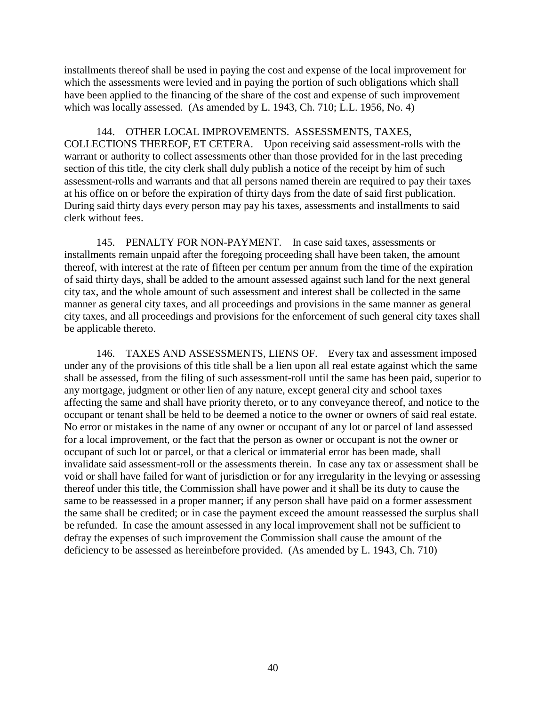installments thereof shall be used in paying the cost and expense of the local improvement for which the assessments were levied and in paying the portion of such obligations which shall have been applied to the financing of the share of the cost and expense of such improvement which was locally assessed. (As amended by L. 1943, Ch. 710; L.L. 1956, No. 4)

144. OTHER LOCAL IMPROVEMENTS. ASSESSMENTS, TAXES, COLLECTIONS THEREOF, ET CETERA. Upon receiving said assessment-rolls with the warrant or authority to collect assessments other than those provided for in the last preceding section of this title, the city clerk shall duly publish a notice of the receipt by him of such assessment-rolls and warrants and that all persons named therein are required to pay their taxes at his office on or before the expiration of thirty days from the date of said first publication. During said thirty days every person may pay his taxes, assessments and installments to said clerk without fees.

145. PENALTY FOR NON-PAYMENT. In case said taxes, assessments or installments remain unpaid after the foregoing proceeding shall have been taken, the amount thereof, with interest at the rate of fifteen per centum per annum from the time of the expiration of said thirty days, shall be added to the amount assessed against such land for the next general city tax, and the whole amount of such assessment and interest shall be collected in the same manner as general city taxes, and all proceedings and provisions in the same manner as general city taxes, and all proceedings and provisions for the enforcement of such general city taxes shall be applicable thereto.

146. TAXES AND ASSESSMENTS, LIENS OF. Every tax and assessment imposed under any of the provisions of this title shall be a lien upon all real estate against which the same shall be assessed, from the filing of such assessment-roll until the same has been paid, superior to any mortgage, judgment or other lien of any nature, except general city and school taxes affecting the same and shall have priority thereto, or to any conveyance thereof, and notice to the occupant or tenant shall be held to be deemed a notice to the owner or owners of said real estate. No error or mistakes in the name of any owner or occupant of any lot or parcel of land assessed for a local improvement, or the fact that the person as owner or occupant is not the owner or occupant of such lot or parcel, or that a clerical or immaterial error has been made, shall invalidate said assessment-roll or the assessments therein. In case any tax or assessment shall be void or shall have failed for want of jurisdiction or for any irregularity in the levying or assessing thereof under this title, the Commission shall have power and it shall be its duty to cause the same to be reassessed in a proper manner; if any person shall have paid on a former assessment the same shall be credited; or in case the payment exceed the amount reassessed the surplus shall be refunded. In case the amount assessed in any local improvement shall not be sufficient to defray the expenses of such improvement the Commission shall cause the amount of the deficiency to be assessed as hereinbefore provided. (As amended by L. 1943, Ch. 710)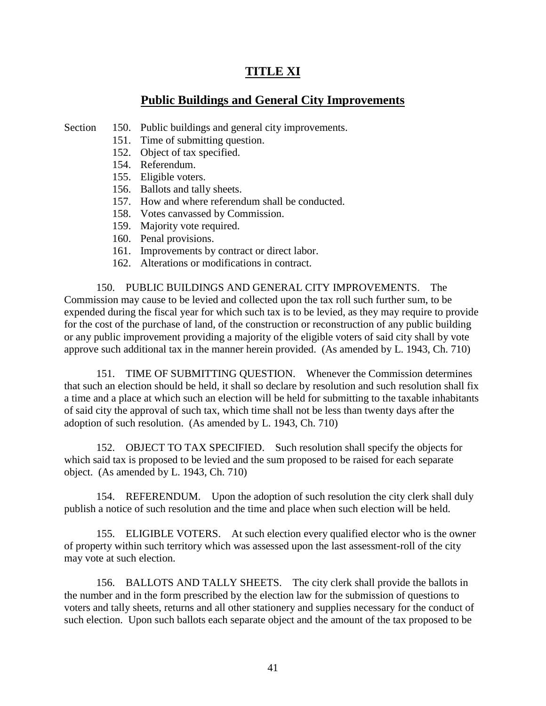# **TITLE XI**

## **Public Buildings and General City Improvements**

Section 150. Public buildings and general city improvements.

- 151. Time of submitting question.
- 152. Object of tax specified.
- 154. Referendum.
- 155. Eligible voters.
- 156. Ballots and tally sheets.
- 157. How and where referendum shall be conducted.
- 158. Votes canvassed by Commission.
- 159. Majority vote required.
- 160. Penal provisions.
- 161. Improvements by contract or direct labor.
- 162. Alterations or modifications in contract.

150. PUBLIC BUILDINGS AND GENERAL CITY IMPROVEMENTS. The Commission may cause to be levied and collected upon the tax roll such further sum, to be expended during the fiscal year for which such tax is to be levied, as they may require to provide for the cost of the purchase of land, of the construction or reconstruction of any public building or any public improvement providing a majority of the eligible voters of said city shall by vote approve such additional tax in the manner herein provided. (As amended by L. 1943, Ch. 710)

151. TIME OF SUBMITTING QUESTION. Whenever the Commission determines that such an election should be held, it shall so declare by resolution and such resolution shall fix a time and a place at which such an election will be held for submitting to the taxable inhabitants of said city the approval of such tax, which time shall not be less than twenty days after the adoption of such resolution. (As amended by L. 1943, Ch. 710)

152. OBJECT TO TAX SPECIFIED. Such resolution shall specify the objects for which said tax is proposed to be levied and the sum proposed to be raised for each separate object. (As amended by L. 1943, Ch. 710)

154. REFERENDUM. Upon the adoption of such resolution the city clerk shall duly publish a notice of such resolution and the time and place when such election will be held.

155. ELIGIBLE VOTERS. At such election every qualified elector who is the owner of property within such territory which was assessed upon the last assessment-roll of the city may vote at such election.

156. BALLOTS AND TALLY SHEETS. The city clerk shall provide the ballots in the number and in the form prescribed by the election law for the submission of questions to voters and tally sheets, returns and all other stationery and supplies necessary for the conduct of such election. Upon such ballots each separate object and the amount of the tax proposed to be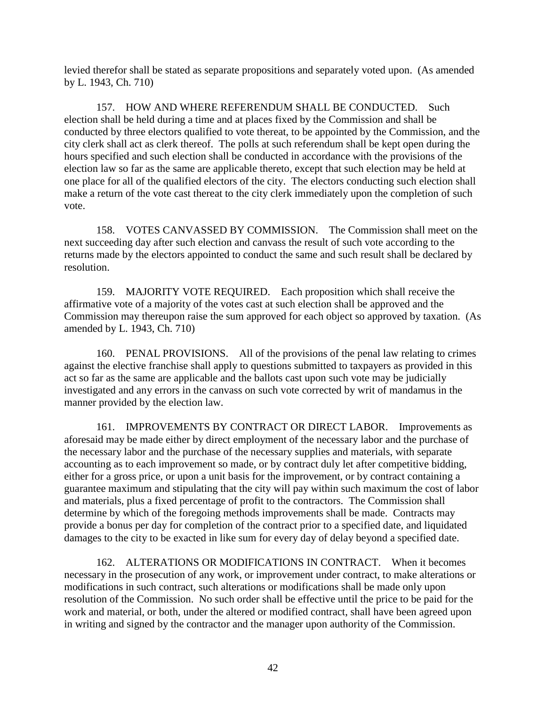levied therefor shall be stated as separate propositions and separately voted upon. (As amended by L. 1943, Ch. 710)

157. HOW AND WHERE REFERENDUM SHALL BE CONDUCTED. Such election shall be held during a time and at places fixed by the Commission and shall be conducted by three electors qualified to vote thereat, to be appointed by the Commission, and the city clerk shall act as clerk thereof. The polls at such referendum shall be kept open during the hours specified and such election shall be conducted in accordance with the provisions of the election law so far as the same are applicable thereto, except that such election may be held at one place for all of the qualified electors of the city. The electors conducting such election shall make a return of the vote cast thereat to the city clerk immediately upon the completion of such vote.

158. VOTES CANVASSED BY COMMISSION. The Commission shall meet on the next succeeding day after such election and canvass the result of such vote according to the returns made by the electors appointed to conduct the same and such result shall be declared by resolution.

159. MAJORITY VOTE REQUIRED. Each proposition which shall receive the affirmative vote of a majority of the votes cast at such election shall be approved and the Commission may thereupon raise the sum approved for each object so approved by taxation. (As amended by L. 1943, Ch. 710)

160. PENAL PROVISIONS. All of the provisions of the penal law relating to crimes against the elective franchise shall apply to questions submitted to taxpayers as provided in this act so far as the same are applicable and the ballots cast upon such vote may be judicially investigated and any errors in the canvass on such vote corrected by writ of mandamus in the manner provided by the election law.

161. IMPROVEMENTS BY CONTRACT OR DIRECT LABOR. Improvements as aforesaid may be made either by direct employment of the necessary labor and the purchase of the necessary labor and the purchase of the necessary supplies and materials, with separate accounting as to each improvement so made, or by contract duly let after competitive bidding, either for a gross price, or upon a unit basis for the improvement, or by contract containing a guarantee maximum and stipulating that the city will pay within such maximum the cost of labor and materials, plus a fixed percentage of profit to the contractors. The Commission shall determine by which of the foregoing methods improvements shall be made. Contracts may provide a bonus per day for completion of the contract prior to a specified date, and liquidated damages to the city to be exacted in like sum for every day of delay beyond a specified date.

162. ALTERATIONS OR MODIFICATIONS IN CONTRACT. When it becomes necessary in the prosecution of any work, or improvement under contract, to make alterations or modifications in such contract, such alterations or modifications shall be made only upon resolution of the Commission. No such order shall be effective until the price to be paid for the work and material, or both, under the altered or modified contract, shall have been agreed upon in writing and signed by the contractor and the manager upon authority of the Commission.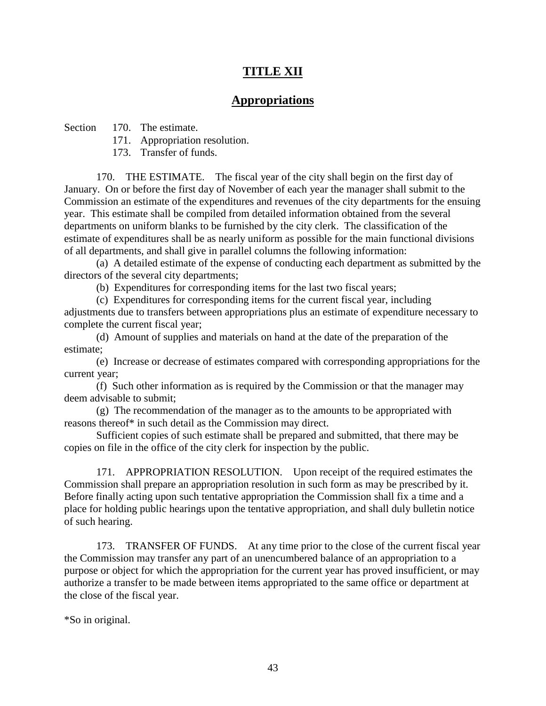# **TITLE XII**

## **Appropriations**

Section 170. The estimate.

171. Appropriation resolution.

173. Transfer of funds.

170. THE ESTIMATE. The fiscal year of the city shall begin on the first day of January. On or before the first day of November of each year the manager shall submit to the Commission an estimate of the expenditures and revenues of the city departments for the ensuing year. This estimate shall be compiled from detailed information obtained from the several departments on uniform blanks to be furnished by the city clerk. The classification of the estimate of expenditures shall be as nearly uniform as possible for the main functional divisions of all departments, and shall give in parallel columns the following information:

(a) A detailed estimate of the expense of conducting each department as submitted by the directors of the several city departments;

(b) Expenditures for corresponding items for the last two fiscal years;

(c) Expenditures for corresponding items for the current fiscal year, including adjustments due to transfers between appropriations plus an estimate of expenditure necessary to complete the current fiscal year;

(d) Amount of supplies and materials on hand at the date of the preparation of the estimate;

(e) Increase or decrease of estimates compared with corresponding appropriations for the current year;

(f) Such other information as is required by the Commission or that the manager may deem advisable to submit;

(g) The recommendation of the manager as to the amounts to be appropriated with reasons thereof\* in such detail as the Commission may direct.

Sufficient copies of such estimate shall be prepared and submitted, that there may be copies on file in the office of the city clerk for inspection by the public.

171. APPROPRIATION RESOLUTION. Upon receipt of the required estimates the Commission shall prepare an appropriation resolution in such form as may be prescribed by it. Before finally acting upon such tentative appropriation the Commission shall fix a time and a place for holding public hearings upon the tentative appropriation, and shall duly bulletin notice of such hearing.

173. TRANSFER OF FUNDS. At any time prior to the close of the current fiscal year the Commission may transfer any part of an unencumbered balance of an appropriation to a purpose or object for which the appropriation for the current year has proved insufficient, or may authorize a transfer to be made between items appropriated to the same office or department at the close of the fiscal year.

\*So in original.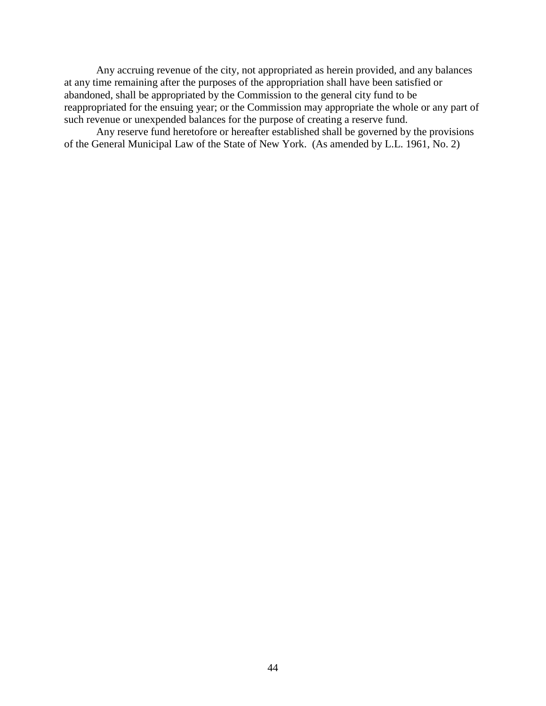Any accruing revenue of the city, not appropriated as herein provided, and any balances at any time remaining after the purposes of the appropriation shall have been satisfied or abandoned, shall be appropriated by the Commission to the general city fund to be reappropriated for the ensuing year; or the Commission may appropriate the whole or any part of such revenue or unexpended balances for the purpose of creating a reserve fund.

Any reserve fund heretofore or hereafter established shall be governed by the provisions of the General Municipal Law of the State of New York. (As amended by L.L. 1961, No. 2)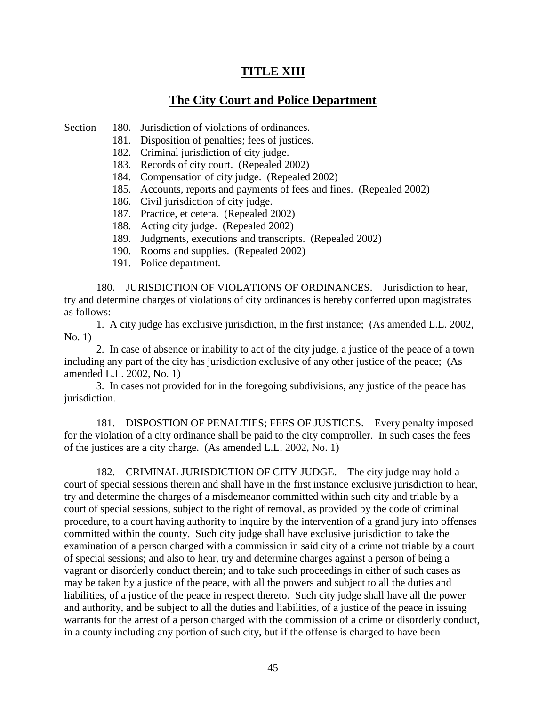# **TITLE XIII**

## **The City Court and Police Department**

Section 180. Jurisdiction of violations of ordinances.

- 181. Disposition of penalties; fees of justices.
- 182. Criminal jurisdiction of city judge.
- 183. Records of city court. (Repealed 2002)
- 184. Compensation of city judge. (Repealed 2002)
- 185. Accounts, reports and payments of fees and fines. (Repealed 2002)
- 186. Civil jurisdiction of city judge.
- 187. Practice, et cetera. (Repealed 2002)
- 188. Acting city judge. (Repealed 2002)
- 189. Judgments, executions and transcripts. (Repealed 2002)
- 190. Rooms and supplies. (Repealed 2002)
- 191. Police department.

180. JURISDICTION OF VIOLATIONS OF ORDINANCES. Jurisdiction to hear, try and determine charges of violations of city ordinances is hereby conferred upon magistrates as follows:

1. A city judge has exclusive jurisdiction, in the first instance; (As amended L.L. 2002, No. 1)

2. In case of absence or inability to act of the city judge, a justice of the peace of a town including any part of the city has jurisdiction exclusive of any other justice of the peace; (As amended L.L. 2002, No. 1)

3. In cases not provided for in the foregoing subdivisions, any justice of the peace has jurisdiction.

181. DISPOSTION OF PENALTIES; FEES OF JUSTICES. Every penalty imposed for the violation of a city ordinance shall be paid to the city comptroller. In such cases the fees of the justices are a city charge. (As amended L.L. 2002, No. 1)

182. CRIMINAL JURISDICTION OF CITY JUDGE. The city judge may hold a court of special sessions therein and shall have in the first instance exclusive jurisdiction to hear, try and determine the charges of a misdemeanor committed within such city and triable by a court of special sessions, subject to the right of removal, as provided by the code of criminal procedure, to a court having authority to inquire by the intervention of a grand jury into offenses committed within the county. Such city judge shall have exclusive jurisdiction to take the examination of a person charged with a commission in said city of a crime not triable by a court of special sessions; and also to hear, try and determine charges against a person of being a vagrant or disorderly conduct therein; and to take such proceedings in either of such cases as may be taken by a justice of the peace, with all the powers and subject to all the duties and liabilities, of a justice of the peace in respect thereto. Such city judge shall have all the power and authority, and be subject to all the duties and liabilities, of a justice of the peace in issuing warrants for the arrest of a person charged with the commission of a crime or disorderly conduct, in a county including any portion of such city, but if the offense is charged to have been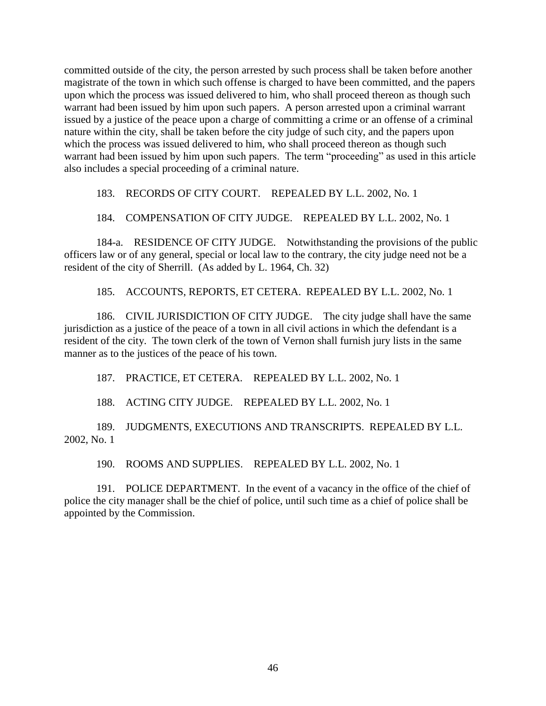committed outside of the city, the person arrested by such process shall be taken before another magistrate of the town in which such offense is charged to have been committed, and the papers upon which the process was issued delivered to him, who shall proceed thereon as though such warrant had been issued by him upon such papers. A person arrested upon a criminal warrant issued by a justice of the peace upon a charge of committing a crime or an offense of a criminal nature within the city, shall be taken before the city judge of such city, and the papers upon which the process was issued delivered to him, who shall proceed thereon as though such warrant had been issued by him upon such papers. The term "proceeding" as used in this article also includes a special proceeding of a criminal nature.

183. RECORDS OF CITY COURT. REPEALED BY L.L. 2002, No. 1

#### 184. COMPENSATION OF CITY JUDGE. REPEALED BY L.L. 2002, No. 1

184-a. RESIDENCE OF CITY JUDGE. Notwithstanding the provisions of the public officers law or of any general, special or local law to the contrary, the city judge need not be a resident of the city of Sherrill. (As added by L. 1964, Ch. 32)

185. ACCOUNTS, REPORTS, ET CETERA. REPEALED BY L.L. 2002, No. 1

186. CIVIL JURISDICTION OF CITY JUDGE. The city judge shall have the same jurisdiction as a justice of the peace of a town in all civil actions in which the defendant is a resident of the city. The town clerk of the town of Vernon shall furnish jury lists in the same manner as to the justices of the peace of his town.

187. PRACTICE, ET CETERA. REPEALED BY L.L. 2002, No. 1

188. ACTING CITY JUDGE. REPEALED BY L.L. 2002, No. 1

189. JUDGMENTS, EXECUTIONS AND TRANSCRIPTS. REPEALED BY L.L. 2002, No. 1

190. ROOMS AND SUPPLIES. REPEALED BY L.L. 2002, No. 1

191. POLICE DEPARTMENT. In the event of a vacancy in the office of the chief of police the city manager shall be the chief of police, until such time as a chief of police shall be appointed by the Commission.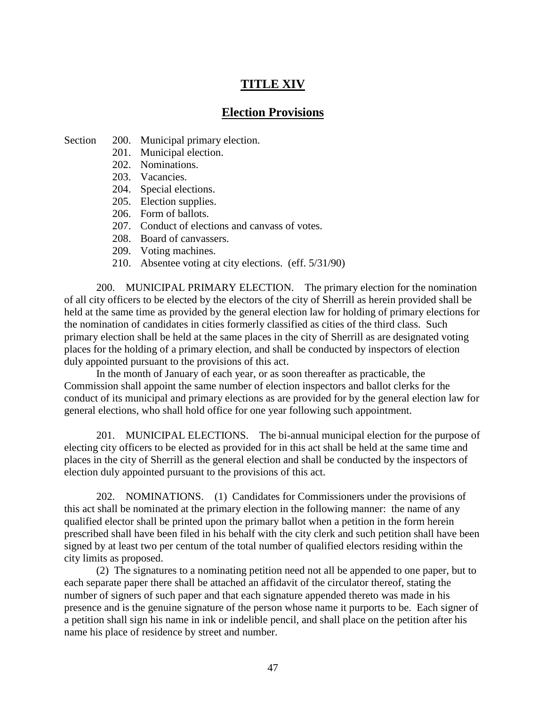# **TITLE XIV**

### **Election Provisions**

Section 200. Municipal primary election.

- 201. Municipal election.
- 202. Nominations.
- 203. Vacancies.
- 204. Special elections.
- 205. Election supplies.
- 206. Form of ballots.
- 207. Conduct of elections and canvass of votes.
- 208. Board of canvassers.
- 209. Voting machines.
- 210. Absentee voting at city elections. (eff. 5/31/90)

200. MUNICIPAL PRIMARY ELECTION. The primary election for the nomination of all city officers to be elected by the electors of the city of Sherrill as herein provided shall be held at the same time as provided by the general election law for holding of primary elections for the nomination of candidates in cities formerly classified as cities of the third class. Such primary election shall be held at the same places in the city of Sherrill as are designated voting places for the holding of a primary election, and shall be conducted by inspectors of election duly appointed pursuant to the provisions of this act.

In the month of January of each year, or as soon thereafter as practicable, the Commission shall appoint the same number of election inspectors and ballot clerks for the conduct of its municipal and primary elections as are provided for by the general election law for general elections, who shall hold office for one year following such appointment.

201. MUNICIPAL ELECTIONS. The bi-annual municipal election for the purpose of electing city officers to be elected as provided for in this act shall be held at the same time and places in the city of Sherrill as the general election and shall be conducted by the inspectors of election duly appointed pursuant to the provisions of this act.

202. NOMINATIONS. (1) Candidates for Commissioners under the provisions of this act shall be nominated at the primary election in the following manner: the name of any qualified elector shall be printed upon the primary ballot when a petition in the form herein prescribed shall have been filed in his behalf with the city clerk and such petition shall have been signed by at least two per centum of the total number of qualified electors residing within the city limits as proposed.

(2) The signatures to a nominating petition need not all be appended to one paper, but to each separate paper there shall be attached an affidavit of the circulator thereof, stating the number of signers of such paper and that each signature appended thereto was made in his presence and is the genuine signature of the person whose name it purports to be. Each signer of a petition shall sign his name in ink or indelible pencil, and shall place on the petition after his name his place of residence by street and number.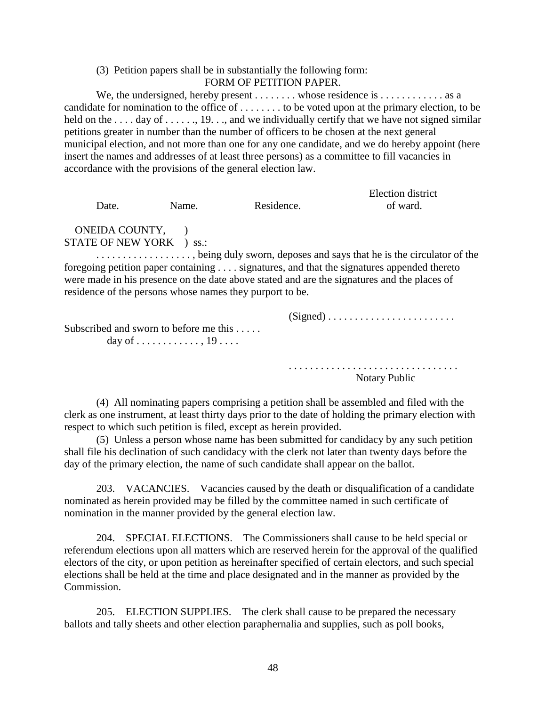#### (3) Petition papers shall be in substantially the following form: FORM OF PETITION PAPER.

We, the undersigned, hereby present  $\dots \dots$  whose residence is  $\dots \dots \dots$  as a candidate for nomination to the office of . . . . . . . . to be voted upon at the primary election, to be held on the ... . day of ... ..., 19..., and we individually certify that we have not signed similar petitions greater in number than the number of officers to be chosen at the next general municipal election, and not more than one for any one candidate, and we do hereby appoint (here insert the names and addresses of at least three persons) as a committee to fill vacancies in accordance with the provisions of the general election law.

| Date.                    | Name. | Residence. | Election district<br>of ward. |
|--------------------------|-------|------------|-------------------------------|
| ONEIDA COUNTY,           |       |            |                               |
| STATE OF NEW YORK ) ss.: |       |            |                               |

. . . . . . . . . . . . . . . . . . , being duly sworn, deposes and says that he is the circulator of the foregoing petition paper containing . . . . signatures, and that the signatures appended thereto were made in his presence on the date above stated and are the signatures and the places of residence of the persons whose names they purport to be.

(Signed) . . . . . . . . . . . . . . . . . . . . . . . .

Subscribed and sworn to before me this . . . . . day of . . . . . . . . . . . . , 19 . . . .

> . . . . . . . . . . . . . . . . . . . . . . . . . . . . . . . . Notary Public

(4) All nominating papers comprising a petition shall be assembled and filed with the clerk as one instrument, at least thirty days prior to the date of holding the primary election with respect to which such petition is filed, except as herein provided.

(5) Unless a person whose name has been submitted for candidacy by any such petition shall file his declination of such candidacy with the clerk not later than twenty days before the day of the primary election, the name of such candidate shall appear on the ballot.

203. VACANCIES. Vacancies caused by the death or disqualification of a candidate nominated as herein provided may be filled by the committee named in such certificate of nomination in the manner provided by the general election law.

204. SPECIAL ELECTIONS. The Commissioners shall cause to be held special or referendum elections upon all matters which are reserved herein for the approval of the qualified electors of the city, or upon petition as hereinafter specified of certain electors, and such special elections shall be held at the time and place designated and in the manner as provided by the Commission.

205. ELECTION SUPPLIES. The clerk shall cause to be prepared the necessary ballots and tally sheets and other election paraphernalia and supplies, such as poll books,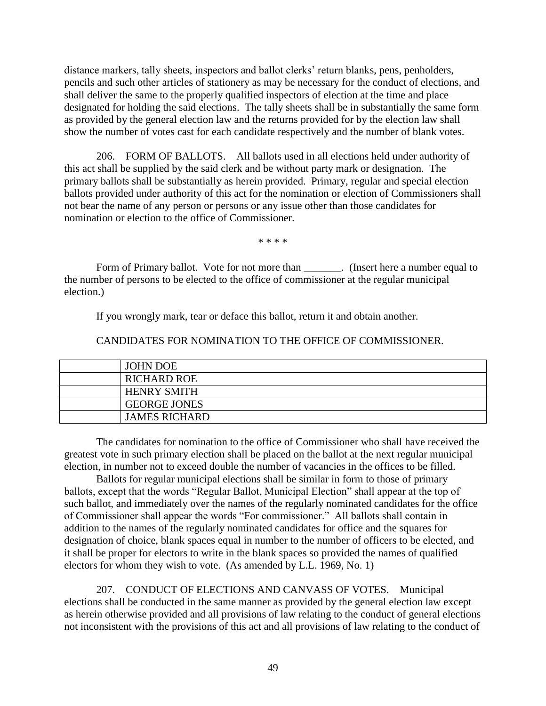distance markers, tally sheets, inspectors and ballot clerks' return blanks, pens, penholders, pencils and such other articles of stationery as may be necessary for the conduct of elections, and shall deliver the same to the properly qualified inspectors of election at the time and place designated for holding the said elections. The tally sheets shall be in substantially the same form as provided by the general election law and the returns provided for by the election law shall show the number of votes cast for each candidate respectively and the number of blank votes.

206. FORM OF BALLOTS. All ballots used in all elections held under authority of this act shall be supplied by the said clerk and be without party mark or designation. The primary ballots shall be substantially as herein provided. Primary, regular and special election ballots provided under authority of this act for the nomination or election of Commissioners shall not bear the name of any person or persons or any issue other than those candidates for nomination or election to the office of Commissioner.

\* \* \* \*

Form of Primary ballot. Vote for not more than \_\_\_\_\_\_\_. (Insert here a number equal to the number of persons to be elected to the office of commissioner at the regular municipal election.)

If you wrongly mark, tear or deface this ballot, return it and obtain another.

CANDIDATES FOR NOMINATION TO THE OFFICE OF COMMISSIONER.

| <b>JOHN DOE</b>      |
|----------------------|
| <b>RICHARD ROE</b>   |
| <b>HENRY SMITH</b>   |
| <b>GEORGE JONES</b>  |
| <b>JAMES RICHARD</b> |
|                      |

The candidates for nomination to the office of Commissioner who shall have received the greatest vote in such primary election shall be placed on the ballot at the next regular municipal election, in number not to exceed double the number of vacancies in the offices to be filled.

Ballots for regular municipal elections shall be similar in form to those of primary ballots, except that the words "Regular Ballot, Municipal Election" shall appear at the top of such ballot, and immediately over the names of the regularly nominated candidates for the office of Commissioner shall appear the words "For commissioner." All ballots shall contain in addition to the names of the regularly nominated candidates for office and the squares for designation of choice, blank spaces equal in number to the number of officers to be elected, and it shall be proper for electors to write in the blank spaces so provided the names of qualified electors for whom they wish to vote. (As amended by L.L. 1969, No. 1)

207. CONDUCT OF ELECTIONS AND CANVASS OF VOTES. Municipal elections shall be conducted in the same manner as provided by the general election law except as herein otherwise provided and all provisions of law relating to the conduct of general elections not inconsistent with the provisions of this act and all provisions of law relating to the conduct of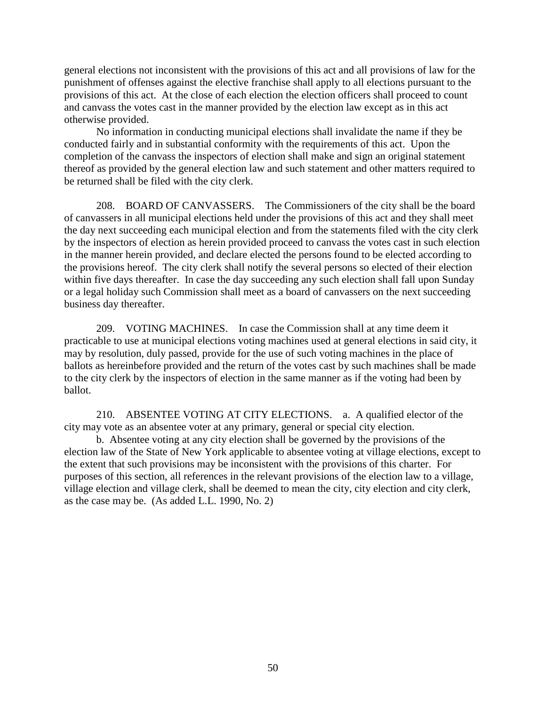general elections not inconsistent with the provisions of this act and all provisions of law for the punishment of offenses against the elective franchise shall apply to all elections pursuant to the provisions of this act. At the close of each election the election officers shall proceed to count and canvass the votes cast in the manner provided by the election law except as in this act otherwise provided.

No information in conducting municipal elections shall invalidate the name if they be conducted fairly and in substantial conformity with the requirements of this act. Upon the completion of the canvass the inspectors of election shall make and sign an original statement thereof as provided by the general election law and such statement and other matters required to be returned shall be filed with the city clerk.

208. BOARD OF CANVASSERS. The Commissioners of the city shall be the board of canvassers in all municipal elections held under the provisions of this act and they shall meet the day next succeeding each municipal election and from the statements filed with the city clerk by the inspectors of election as herein provided proceed to canvass the votes cast in such election in the manner herein provided, and declare elected the persons found to be elected according to the provisions hereof. The city clerk shall notify the several persons so elected of their election within five days thereafter. In case the day succeeding any such election shall fall upon Sunday or a legal holiday such Commission shall meet as a board of canvassers on the next succeeding business day thereafter.

209. VOTING MACHINES. In case the Commission shall at any time deem it practicable to use at municipal elections voting machines used at general elections in said city, it may by resolution, duly passed, provide for the use of such voting machines in the place of ballots as hereinbefore provided and the return of the votes cast by such machines shall be made to the city clerk by the inspectors of election in the same manner as if the voting had been by ballot.

210. ABSENTEE VOTING AT CITY ELECTIONS. a. A qualified elector of the city may vote as an absentee voter at any primary, general or special city election.

b. Absentee voting at any city election shall be governed by the provisions of the election law of the State of New York applicable to absentee voting at village elections, except to the extent that such provisions may be inconsistent with the provisions of this charter. For purposes of this section, all references in the relevant provisions of the election law to a village, village election and village clerk, shall be deemed to mean the city, city election and city clerk, as the case may be. (As added L.L. 1990, No. 2)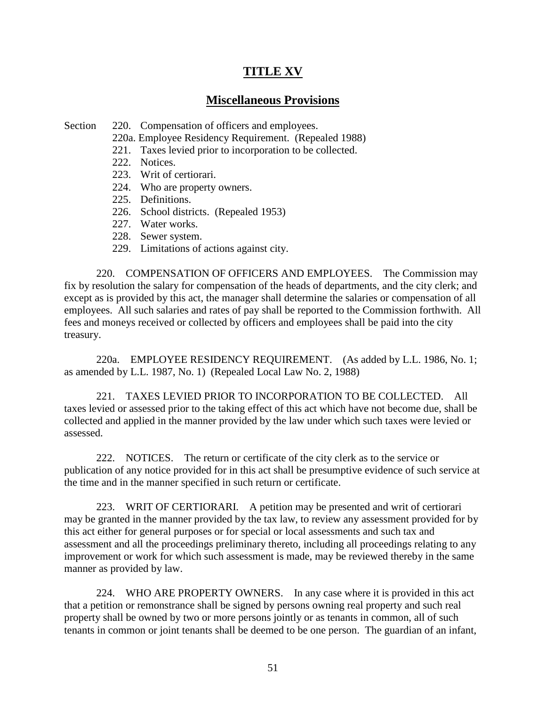# **TITLE XV**

## **Miscellaneous Provisions**

Section 220. Compensation of officers and employees.

- 220a. Employee Residency Requirement. (Repealed 1988)
- 221. Taxes levied prior to incorporation to be collected.
- 222. Notices.
- 223. Writ of certiorari.
- 224. Who are property owners.
- 225. Definitions.
- 226. School districts. (Repealed 1953)
- 227. Water works.
- 228. Sewer system.
- 229. Limitations of actions against city.

220. COMPENSATION OF OFFICERS AND EMPLOYEES. The Commission may fix by resolution the salary for compensation of the heads of departments, and the city clerk; and except as is provided by this act, the manager shall determine the salaries or compensation of all employees. All such salaries and rates of pay shall be reported to the Commission forthwith. All fees and moneys received or collected by officers and employees shall be paid into the city treasury.

220a. EMPLOYEE RESIDENCY REQUIREMENT. (As added by L.L. 1986, No. 1; as amended by L.L. 1987, No. 1) (Repealed Local Law No. 2, 1988)

221. TAXES LEVIED PRIOR TO INCORPORATION TO BE COLLECTED. All taxes levied or assessed prior to the taking effect of this act which have not become due, shall be collected and applied in the manner provided by the law under which such taxes were levied or assessed.

222. NOTICES. The return or certificate of the city clerk as to the service or publication of any notice provided for in this act shall be presumptive evidence of such service at the time and in the manner specified in such return or certificate.

223. WRIT OF CERTIORARI. A petition may be presented and writ of certiorari may be granted in the manner provided by the tax law, to review any assessment provided for by this act either for general purposes or for special or local assessments and such tax and assessment and all the proceedings preliminary thereto, including all proceedings relating to any improvement or work for which such assessment is made, may be reviewed thereby in the same manner as provided by law.

224. WHO ARE PROPERTY OWNERS. In any case where it is provided in this act that a petition or remonstrance shall be signed by persons owning real property and such real property shall be owned by two or more persons jointly or as tenants in common, all of such tenants in common or joint tenants shall be deemed to be one person. The guardian of an infant,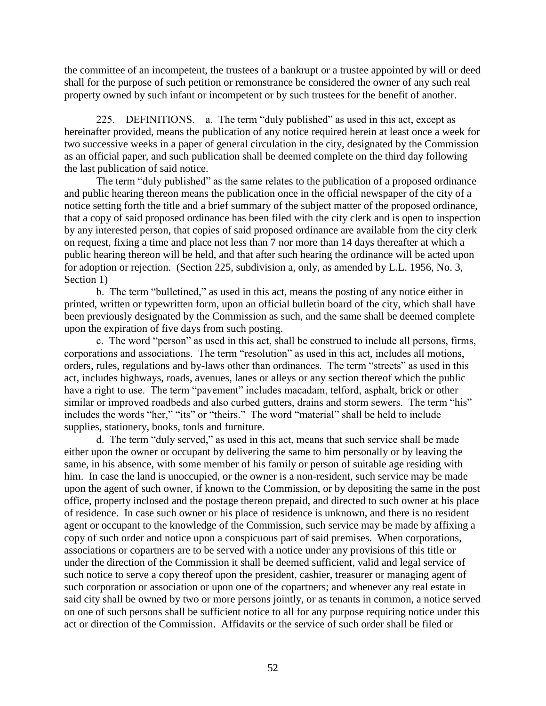the committee of an incompetent, the trustees of a bankrupt or a trustee appointed by will or deed shall for the purpose of such petition or remonstrance be considered the owner of any such real property owned by such infant or incompetent or by such trustees for the benefit of another.

225. DEFINITIONS. a. The term "duly published" as used in this act, except as hereinafter provided, means the publication of any notice required herein at least once a week for two successive weeks in a paper of general circulation in the city, designated by the Commission as an official paper, and such publication shall be deemed complete on the third day following the last publication of said notice.

The term "duly published" as the same relates to the publication of a proposed ordinance and public hearing thereon means the publication once in the official newspaper of the city of a notice setting forth the title and a brief summary of the subject matter of the proposed ordinance, that a copy of said proposed ordinance has been filed with the city clerk and is open to inspection by any interested person, that copies of said proposed ordinance are available from the city clerk on request, fixing a time and place not less than 7 nor more than 14 days thereafter at which a public hearing thereon will be held, and that after such hearing the ordinance will be acted upon for adoption or rejection. (Section 225, subdivision a, only, as amended by L.L. 1956, No. 3, Section 1)

b. The term "bulletined," as used in this act, means the posting of any notice either in printed, written or typewritten form, upon an official bulletin board of the city, which shall have been previously designated by the Commission as such, and the same shall be deemed complete upon the expiration of five days from such posting.

c. The word "person" as used in this act, shall be construed to include all persons, firms, corporations and associations. The term "resolution" as used in this act, includes all motions, orders, rules, regulations and by-laws other than ordinances. The term "streets" as used in this act, includes highways, roads, avenues, lanes or alleys or any section thereof which the public have a right to use. The term "pavement" includes macadam, telford, asphalt, brick or other similar or improved roadbeds and also curbed gutters, drains and storm sewers. The term "his" includes the words "her," "its" or "theirs." The word "material" shall be held to include supplies, stationery, books, tools and furniture.

d. The term "duly served," as used in this act, means that such service shall be made either upon the owner or occupant by delivering the same to him personally or by leaving the same, in his absence, with some member of his family or person of suitable age residing with him. In case the land is unoccupied, or the owner is a non-resident, such service may be made upon the agent of such owner, if known to the Commission, or by depositing the same in the post office, property inclosed and the postage thereon prepaid, and directed to such owner at his place of residence. In case such owner or his place of residence is unknown, and there is no resident agent or occupant to the knowledge of the Commission, such service may be made by affixing a copy of such order and notice upon a conspicuous part of said premises. When corporations, associations or copartners are to be served with a notice under any provisions of this title or under the direction of the Commission it shall be deemed sufficient, valid and legal service of such notice to serve a copy thereof upon the president, cashier, treasurer or managing agent of such corporation or association or upon one of the copartners; and whenever any real estate in said city shall be owned by two or more persons jointly, or as tenants in common, a notice served on one of such persons shall be sufficient notice to all for any purpose requiring notice under this act or direction of the Commission. Affidavits or the service of such order shall be filed or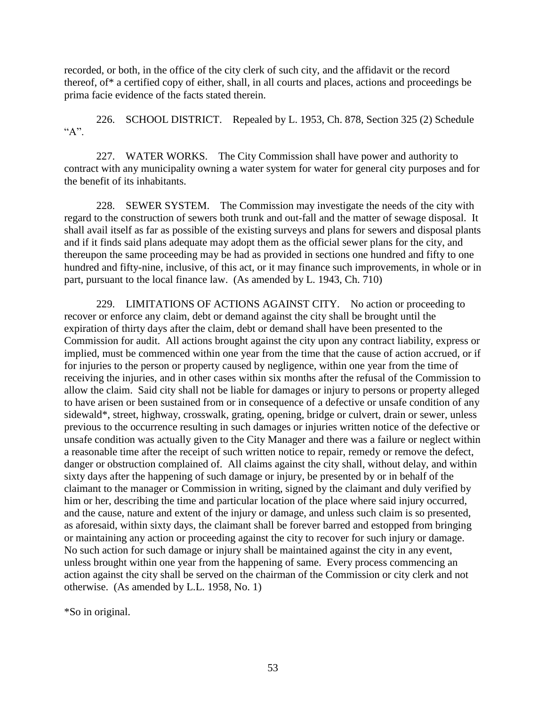recorded, or both, in the office of the city clerk of such city, and the affidavit or the record thereof, of\* a certified copy of either, shall, in all courts and places, actions and proceedings be prima facie evidence of the facts stated therein.

226. SCHOOL DISTRICT. Repealed by L. 1953, Ch. 878, Section 325 (2) Schedule  ${}^{\alpha}A$ ".

227. WATER WORKS. The City Commission shall have power and authority to contract with any municipality owning a water system for water for general city purposes and for the benefit of its inhabitants.

228. SEWER SYSTEM. The Commission may investigate the needs of the city with regard to the construction of sewers both trunk and out-fall and the matter of sewage disposal. It shall avail itself as far as possible of the existing surveys and plans for sewers and disposal plants and if it finds said plans adequate may adopt them as the official sewer plans for the city, and thereupon the same proceeding may be had as provided in sections one hundred and fifty to one hundred and fifty-nine, inclusive, of this act, or it may finance such improvements, in whole or in part, pursuant to the local finance law. (As amended by L. 1943, Ch. 710)

229. LIMITATIONS OF ACTIONS AGAINST CITY. No action or proceeding to recover or enforce any claim, debt or demand against the city shall be brought until the expiration of thirty days after the claim, debt or demand shall have been presented to the Commission for audit. All actions brought against the city upon any contract liability, express or implied, must be commenced within one year from the time that the cause of action accrued, or if for injuries to the person or property caused by negligence, within one year from the time of receiving the injuries, and in other cases within six months after the refusal of the Commission to allow the claim. Said city shall not be liable for damages or injury to persons or property alleged to have arisen or been sustained from or in consequence of a defective or unsafe condition of any sidewald\*, street, highway, crosswalk, grating, opening, bridge or culvert, drain or sewer, unless previous to the occurrence resulting in such damages or injuries written notice of the defective or unsafe condition was actually given to the City Manager and there was a failure or neglect within a reasonable time after the receipt of such written notice to repair, remedy or remove the defect, danger or obstruction complained of. All claims against the city shall, without delay, and within sixty days after the happening of such damage or injury, be presented by or in behalf of the claimant to the manager or Commission in writing, signed by the claimant and duly verified by him or her, describing the time and particular location of the place where said injury occurred, and the cause, nature and extent of the injury or damage, and unless such claim is so presented, as aforesaid, within sixty days, the claimant shall be forever barred and estopped from bringing or maintaining any action or proceeding against the city to recover for such injury or damage. No such action for such damage or injury shall be maintained against the city in any event, unless brought within one year from the happening of same. Every process commencing an action against the city shall be served on the chairman of the Commission or city clerk and not otherwise. (As amended by L.L. 1958, No. 1)

\*So in original.